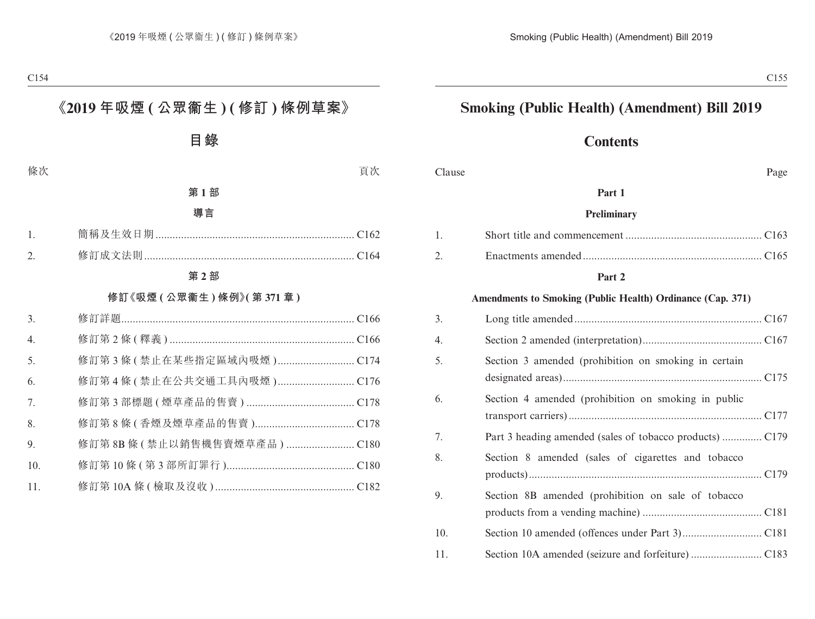# **Smoking (Public Health) (Amendment) Bill 2019**

# **Contents**

| Clause | Page |
|--------|------|
|--------|------|

#### **Part 1**

#### **Preliminary**

#### **Part 2**

#### **Amendments to Smoking (Public Health) Ordinance (Cap. 371)**

| 3.  |                                                      |
|-----|------------------------------------------------------|
| 4.  |                                                      |
| 5.  | Section 3 amended (prohibition on smoking in certain |
| 6.  | Section 4 amended (prohibition on smoking in public  |
| 7.  |                                                      |
| 8.  | Section 8 amended (sales of cigarettes and tobacco   |
| 9.  | Section 8B amended (prohibition on sale of tobacco   |
| 10. |                                                      |
| 11. |                                                      |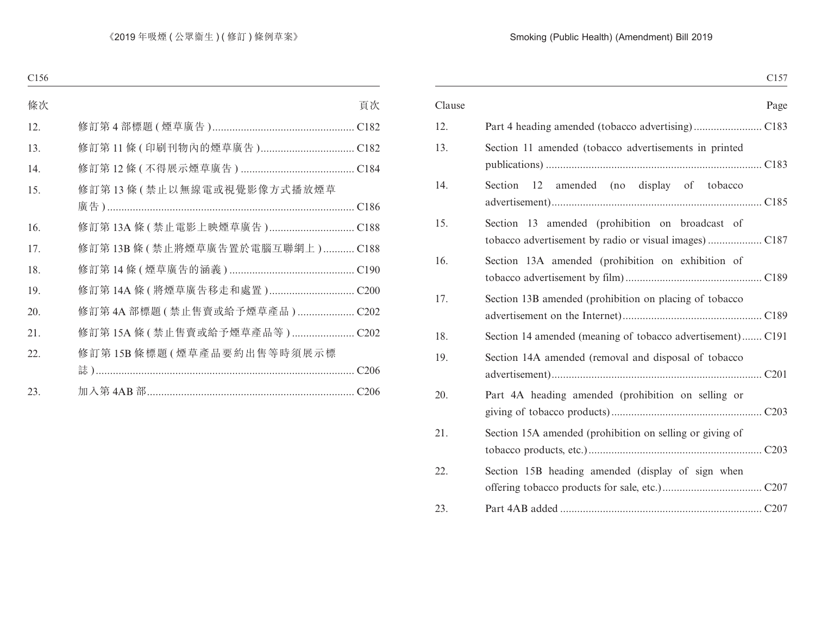|                                                            | C <sub>157</sub> |
|------------------------------------------------------------|------------------|
| Clause                                                     | Page             |
|                                                            |                  |
| Section 11 amended (tobacco advertisements in printed      |                  |
| 12 amended (no display of tobacco<br>Section               |                  |
| Section 13 amended (prohibition on broadcast of            |                  |
| Section 13A amended (prohibition on exhibition of          |                  |
| Section 13B amended (prohibition on placing of tobacco     |                  |
| Section 14 amended (meaning of tobacco advertisement) C191 |                  |
| Section 14A amended (removal and disposal of tobacco       |                  |
| Part 4A heading amended (prohibition on selling or         |                  |
| Section 15A amended (prohibition on selling or giving of   |                  |
| Section 15B heading amended (display of sign when          |                  |
|                                                            |                  |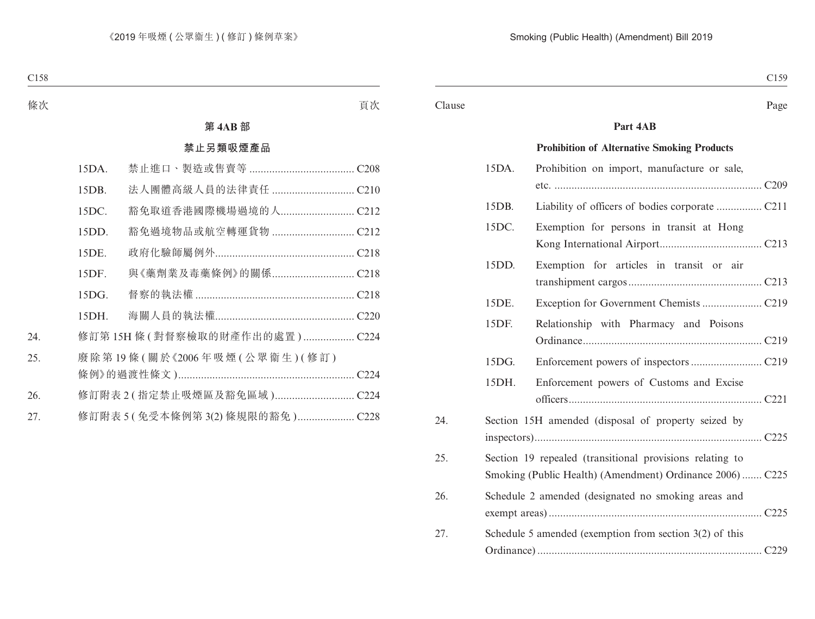#### Clause Page

#### **Part 4AB**

#### **Prohibition of Alternative Smoking Products**

|     | 15DA. | Prohibition on import, manufacture or sale,               |
|-----|-------|-----------------------------------------------------------|
|     |       |                                                           |
|     | 15DB. |                                                           |
|     | 15DC. | Exemption for persons in transit at Hong                  |
|     |       |                                                           |
|     | 15DD. | Exemption for articles in transit or air                  |
|     |       |                                                           |
|     | 15DE. |                                                           |
|     | 15DF. | Relationship with Pharmacy and Poisons                    |
|     |       |                                                           |
|     | 15DG. |                                                           |
|     | 15DH. | Enforcement powers of Customs and Excise                  |
|     |       |                                                           |
| 24. |       | Section 15H amended (disposal of property seized by       |
|     |       |                                                           |
| 25. |       | Section 19 repealed (transitional provisions relating to  |
|     |       | Smoking (Public Health) (Amendment) Ordinance 2006) C225  |
| 26. |       | Schedule 2 amended (designated no smoking areas and       |
|     |       |                                                           |
| 27. |       | Schedule 5 amended (exemption from section $3(2)$ of this |
|     |       |                                                           |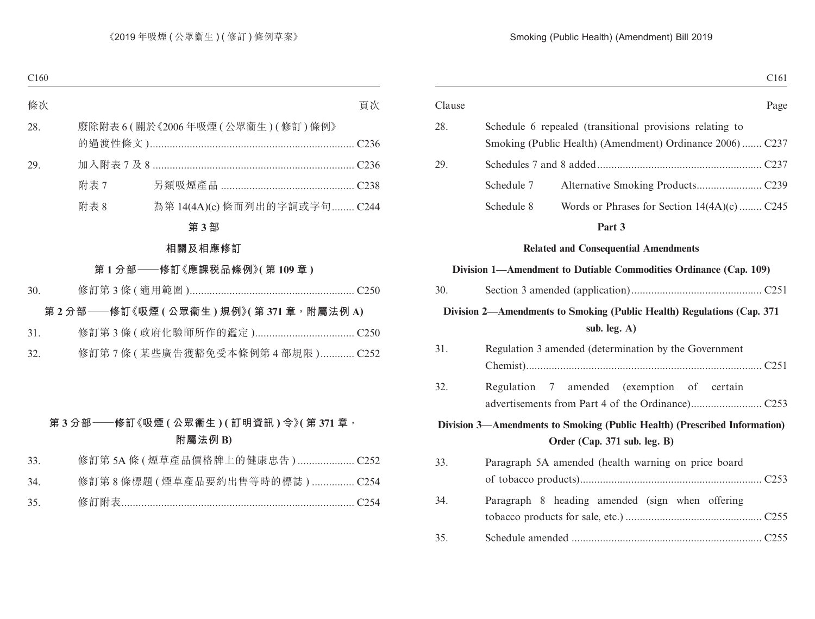| C <sub>161</sub>                                                                                          |            |        |
|-----------------------------------------------------------------------------------------------------------|------------|--------|
| Page                                                                                                      |            | Clause |
| Schedule 6 repealed (transitional provisions relating to                                                  |            | 28.    |
| Smoking (Public Health) (Amendment) Ordinance 2006) C237                                                  |            |        |
|                                                                                                           |            | 29.    |
|                                                                                                           | Schedule 7 |        |
| Words or Phrases for Section 14(4A)(c)  C245                                                              | Schedule 8 |        |
| Part 3                                                                                                    |            |        |
| <b>Related and Consequential Amendments</b>                                                               |            |        |
| Division 1—Amendment to Dutiable Commodities Ordinance (Cap. 109)                                         |            |        |
|                                                                                                           |            | 30.    |
| Division 2—Amendments to Smoking (Public Health) Regulations (Cap. 371<br>sub. leg. A)                    |            |        |
| Regulation 3 amended (determination by the Government                                                     |            | 31.    |
| Regulation 7 amended (exemption of certain                                                                |            | 32.    |
| Division 3—Amendments to Smoking (Public Health) (Prescribed Information)<br>Order (Cap. 371 sub. leg. B) |            |        |
| Paragraph 5A amended (health warning on price board                                                       |            | 33.    |
| Paragraph 8 heading amended (sign when offering                                                           |            | 34.    |
|                                                                                                           |            | 35.    |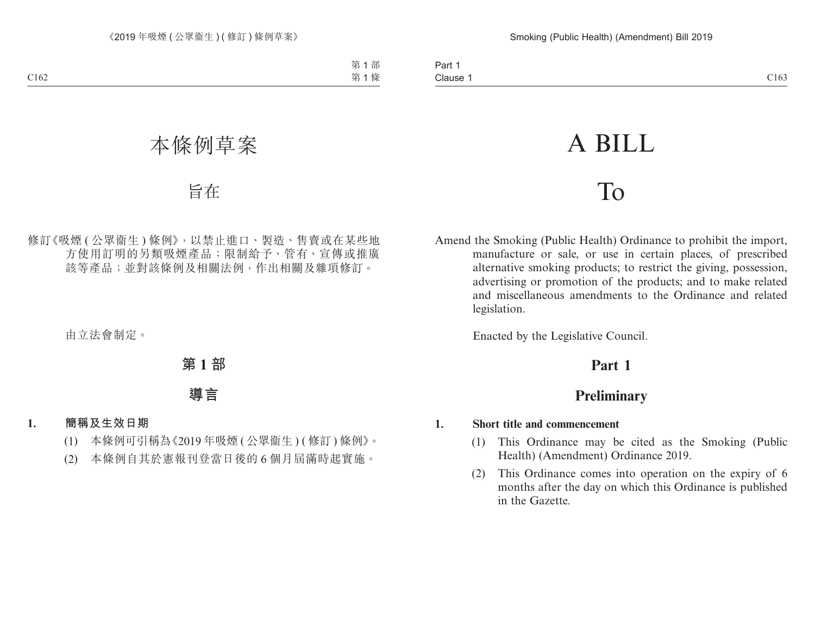# A BILL

# To

Amend the Smoking (Public Health) Ordinance to prohibit the import, manufacture or sale, or use in certain places, of prescribed alternative smoking products; to restrict the giving, possession, advertising or promotion of the products; and to make related and miscellaneous amendments to the Ordinance and related legislation.

Enacted by the Legislative Council.

# **Part 1**

# **Preliminary**

#### **1. Short title and commencement**

- (1) This Ordinance may be cited as the Smoking (Public Health) (Amendment) Ordinance 2019.
- (2) This Ordinance comes into operation on the expiry of 6 months after the day on which this Ordinance is published in the Gazette.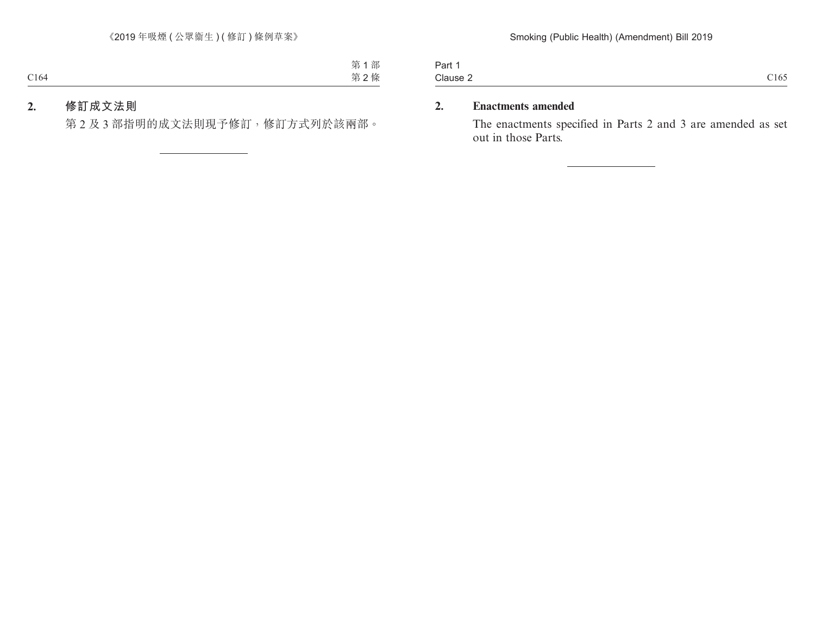Part 1 Clause 2 Clause 2  $\qquad \qquad$  C165

## **2. Enactments amended**

The enactments specified in Parts 2 and 3 are amended as set out in those Parts.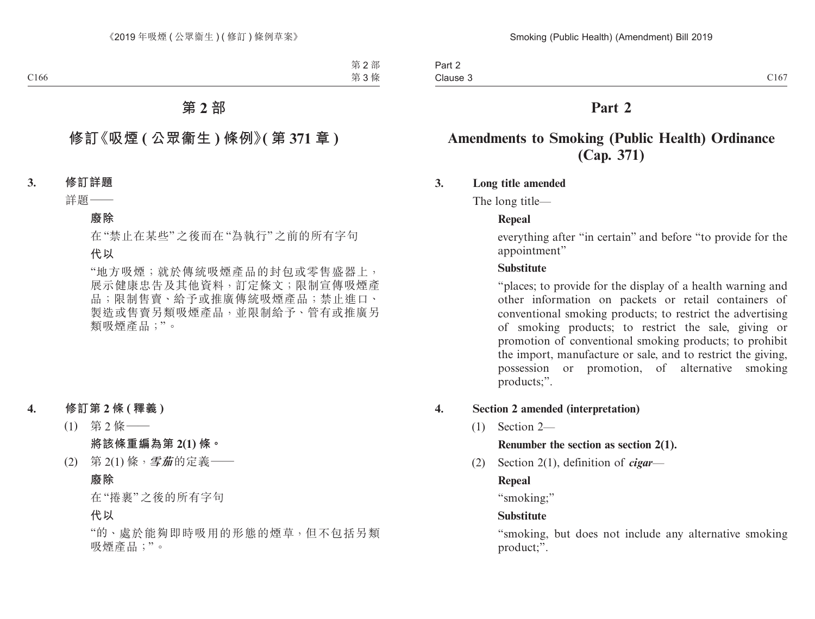# **Part 2**

# **Amendments to Smoking (Public Health) Ordinance (Cap. 371)**

## **3. Long title amended**

The long title—

## **Repeal**

everything after "in certain" and before "to provide for the appointment"

#### **Substitute**

"places; to provide for the display of a health warning and other information on packets or retail containers of conventional smoking products; to restrict the advertising of smoking products; to restrict the sale, giving or promotion of conventional smoking products; to prohibit the import, manufacture or sale, and to restrict the giving, possession or promotion, of alternative smoking products;".

## **4. Section 2 amended (interpretation)**

(1) Section 2—

#### **Renumber the section as section 2(1).**

(2) Section 2(1), definition of *cigar*—

## **Repeal**

"smoking;"

## **Substitute**

"smoking, but does not include any alternative smoking product;".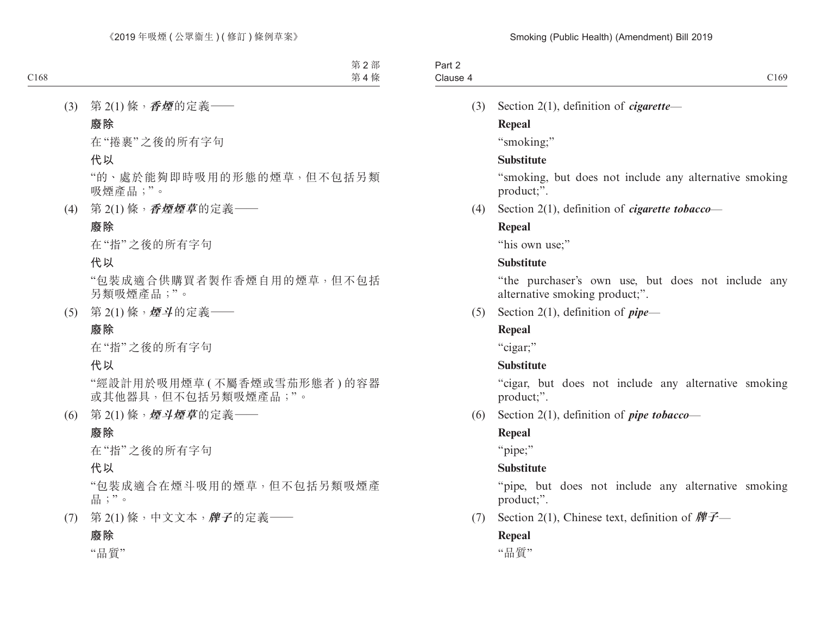| $.$ $.$ $\sim$<br><b>rait</b> |      |
|-------------------------------|------|
| Clause 4                      | C169 |

(3) Section 2(1), definition of *cigarette*—

## **Repeal**

"smoking;"

## **Substitute**

"smoking, but does not include any alternative smoking product;".

(4) Section 2(1), definition of *cigarette tobacco*—

## **Repeal**

"his own use:"

## **Substitute**

"the purchaser's own use, but does not include any alternative smoking product;".

(5) Section 2(1), definition of *pipe*—

## **Repeal**

"cigar;"

## **Substitute**

"cigar, but does not include any alternative smoking product;".

(6) Section 2(1), definition of *pipe tobacco*—

## **Repeal**

"pipe;"

## **Substitute**

"pipe, but does not include any alternative smoking product;".

(7) Section 2(1), Chinese text, definition of **牌子**—

## **Repeal**

"品質"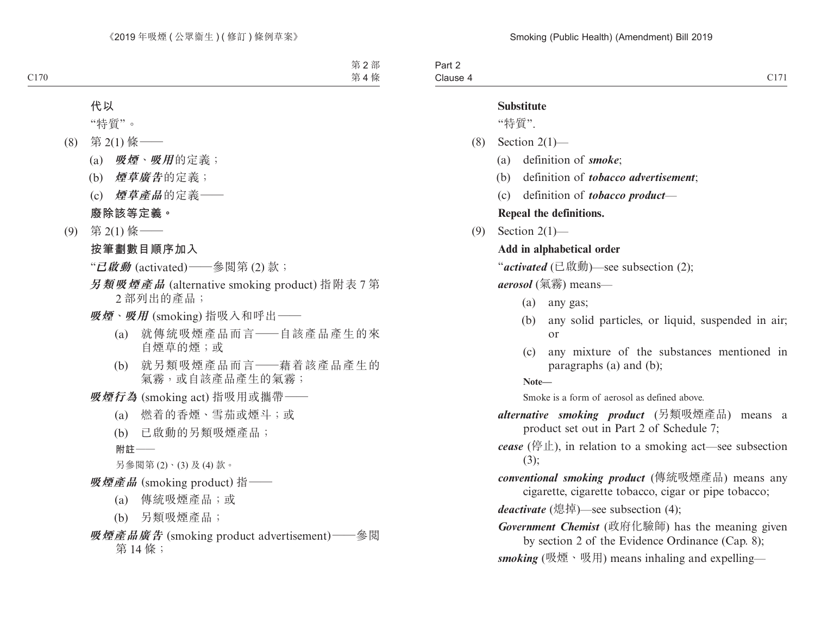| - - |
|-----|
|     |

#### **Substitute**

"特質".

- $(8)$  Section 2(1)-
	- (a) definition of *smoke*;
	- (b) definition of *tobacco advertisement*;
	- (c) definition of *tobacco product*—

#### **Repeal the definitions.**

(9) Section 2(1)—

#### **Add in alphabetical order**

"*activated* (已啟動)—see subsection (2);

*aerosol* (氣霧) means—

- (a) any gas;
- (b) any solid particles, or liquid, suspended in air; or
- (c) any mixture of the substances mentioned in paragraphs (a) and (b);

**Note—**

Smoke is a form of aerosol as defined above.

*alternative smoking product* (另類吸煙產品) means a product set out in Part 2 of Schedule 7;

*cease* (停止), in relation to a smoking act—see subsection (3);

*conventional smoking product* (傳統吸煙產品) means any cigarette, cigarette tobacco, cigar or pipe tobacco;

*deactivate* (熄掉)—see subsection (4);

*Government Chemist* (政府化驗師) has the meaning given by section 2 of the Evidence Ordinance (Cap. 8);

*smoking* (吸煙、吸用) means inhaling and expelling—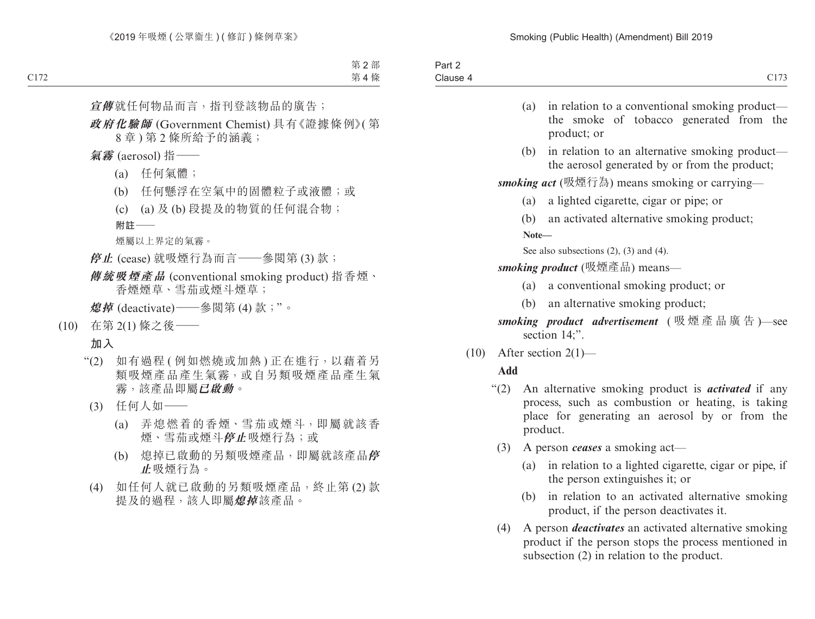| $\overline{\phantom{a}}$<br>Part.<br>_ |                   |
|----------------------------------------|-------------------|
| Clause                                 | C1.77<br>$\cdots$ |
|                                        |                   |

- (a) in relation to a conventional smoking product the smoke of tobacco generated from the product; or
- (b) in relation to an alternative smoking product the aerosol generated by or from the product;

*smoking act* (吸煙行為) means smoking or carrying—

- (a) a lighted cigarette, cigar or pipe; or
- (b) an activated alternative smoking product;

**Note—**

See also subsections (2), (3) and (4).

*smoking product* (吸煙產品) means—

- (a) a conventional smoking product; or
- (b) an alternative smoking product;

*smoking product advertisement* ( 吸煙產品廣告 )—see section 14:".

 $(10)$  After section  $2(1)$ —

## **Add**

- "(2) An alternative smoking product is *activated* if any process, such as combustion or heating, is taking place for generating an aerosol by or from the product.
	- (3) A person *ceases* a smoking act—
		- (a) in relation to a lighted cigarette, cigar or pipe, if the person extinguishes it; or
		- (b) in relation to an activated alternative smoking product, if the person deactivates it.
	- (4) A person *deactivates* an activated alternative smoking product if the person stops the process mentioned in subsection (2) in relation to the product.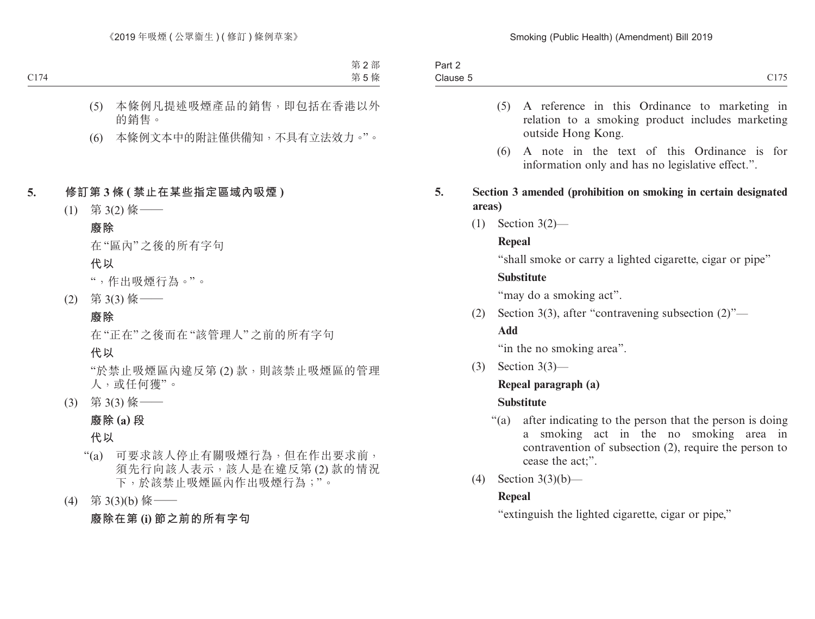| Part ∠   |                         |
|----------|-------------------------|
| Clause 5 | C11.77<br>$\sim$ $\sim$ |

- (5) A reference in this Ordinance to marketing in relation to a smoking product includes marketing outside Hong Kong.
- (6) A note in the text of this Ordinance is for information only and has no legislative effect.".
- **5. Section 3 amended (prohibition on smoking in certain designated areas)**
	- (1) Section 3(2)—

## **Repeal**

"shall smoke or carry a lighted cigarette, cigar or pipe"

## **Substitute**

"may do a smoking act".

(2) Section 3(3), after "contravening subsection  $(2)$ "—

## **Add**

"in the no smoking area".

(3) Section 3(3)—

# **Repeal paragraph (a)**

# **Substitute**

- "(a) after indicating to the person that the person is doing a smoking act in the no smoking area in contravention of subsection (2), require the person to cease the act;".
- (4) Section 3(3)(b)—

# **Repeal**

"extinguish the lighted cigarette, cigar or pipe,"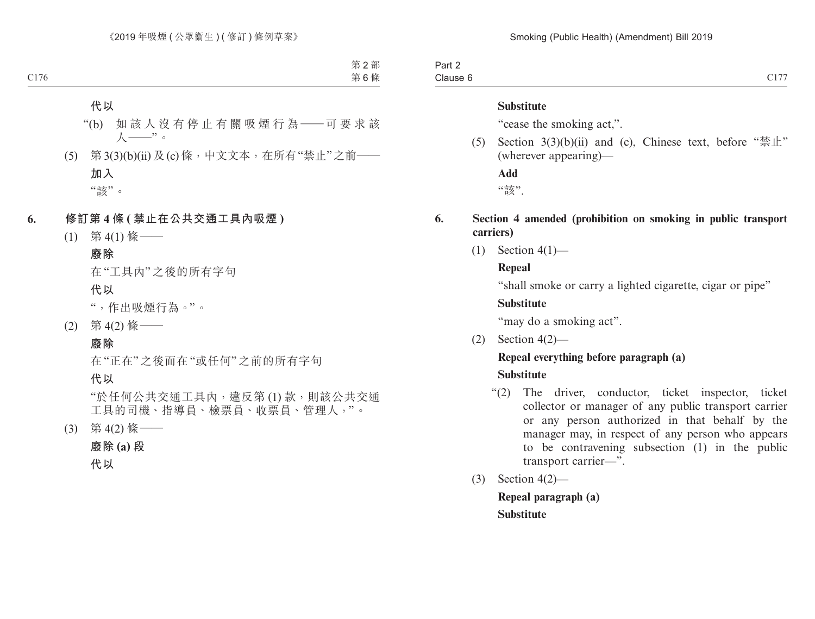Part 2 Clause 6  $Clause 6$   $Cl177$ 

#### **Substitute**

"cease the smoking act,".

(5) Section  $3(3)(b)(ii)$  and (c), Chinese text, before " $\frac{1}{2}$ " (wherever appearing)—

**Add**

"該".

#### **6. Section 4 amended (prohibition on smoking in public transport carriers)**

 $(1)$  Section 4(1)—

#### **Repeal**

"shall smoke or carry a lighted cigarette, cigar or pipe"

#### **Substitute**

"may do a smoking act".

(2) Section 4(2)—

## **Repeal everything before paragraph (a)**

#### **Substitute**

- "(2) The driver, conductor, ticket inspector, ticket collector or manager of any public transport carrier or any person authorized in that behalf by the manager may, in respect of any person who appears to be contravening subsection (1) in the public transport carrier—".
- (3) Section 4(2)—

**Repeal paragraph (a) Substitute**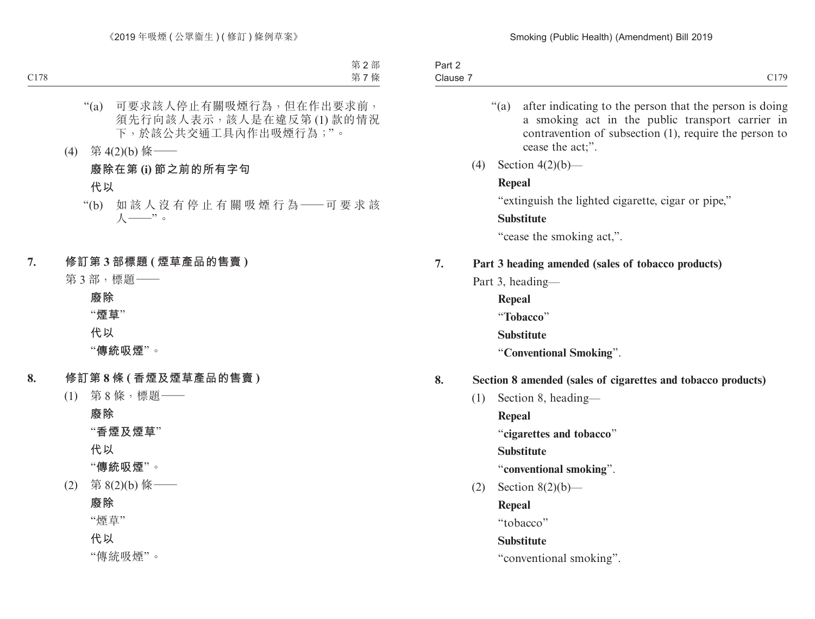| C179<br>$\sim$ $\sim$<br>$\bigcap$<br>Clause 7<br>$\sim$ $\sim$ $\sim$ |
|------------------------------------------------------------------------|
|                                                                        |

- "(a) after indicating to the person that the person is doing a smoking act in the public transport carrier in contravention of subsection (1), require the person to cease the act;".
- (4) Section 4(2)(b)—

#### **Repeal**

"extinguish the lighted cigarette, cigar or pipe,"

## **Substitute**

"cease the smoking act,".

## **7. Part 3 heading amended (sales of tobacco products)**

- Part 3, heading—
	- **Repeal**
	- "**Tobacco**"
	- **Substitute**
	- "**Conventional Smoking**".

## **8. Section 8 amended (sales of cigarettes and tobacco products)**

- (1) Section 8, heading—
	- **Repeal**
	- "**cigarettes and tobacco**"
	- **Substitute**
	- "**conventional smoking**".
- (2) Section  $8(2)(b)$ 
	- **Repeal**
	- "tobacco"

## **Substitute**

"conventional smoking".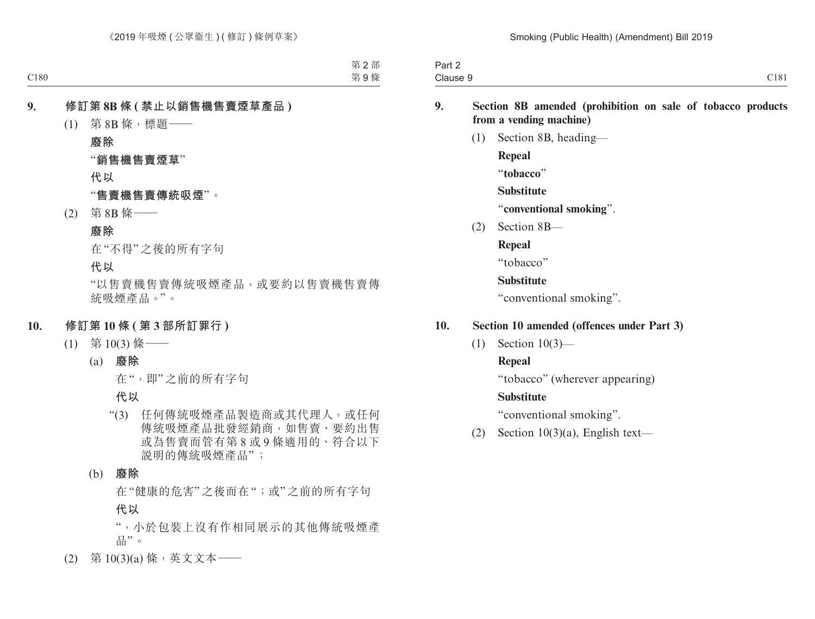| .3cm<br><b>Fail</b> |      |
|---------------------|------|
| Clause 9            | C181 |

#### **9. Section 8B amended (prohibition on sale of tobacco products from a vending machine)**

(1) Section 8B, heading— **Repeal** "**tobacco**" **Substitute** "**conventional smoking**". (2) Section 8B— **Repeal**

"tobacco"

**Substitute**

"conventional smoking".

## **10. Section 10 amended (offences under Part 3)**

(1) Section 10(3)—

**Repeal**

"tobacco" (wherever appearing)

## **Substitute**

"conventional smoking".

(2) Section  $10(3)(a)$ , English text—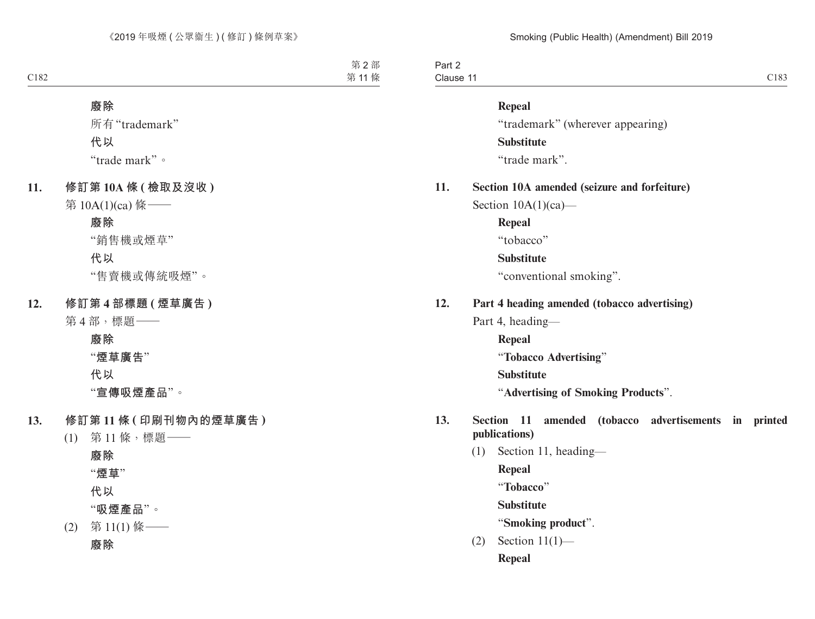| Part 2                              |      |
|-------------------------------------|------|
| the control of the con-<br>Clause 1 | C183 |

#### **Repeal**

"trademark" (wherever appearing) **Substitute**

"trade mark".

## **11. Section 10A amended (seizure and forfeiture)** Section  $10A(1)(ca)$ —

**Repeal**

"tobacco"

#### **Substitute**

"conventional smoking".

#### **12. Part 4 heading amended (tobacco advertising)**

Part 4, heading—

**Repeal** "**Tobacco Advertising**" **Substitute** "**Advertising of Smoking Products**".

#### **13. Section 11 amended (tobacco advertisements in printed publications)**

(1) Section 11, heading— **Repeal** "**Tobacco**" **Substitute** "**Smoking product**".  $(2)$  Section  $11(1)$ —

**Repeal**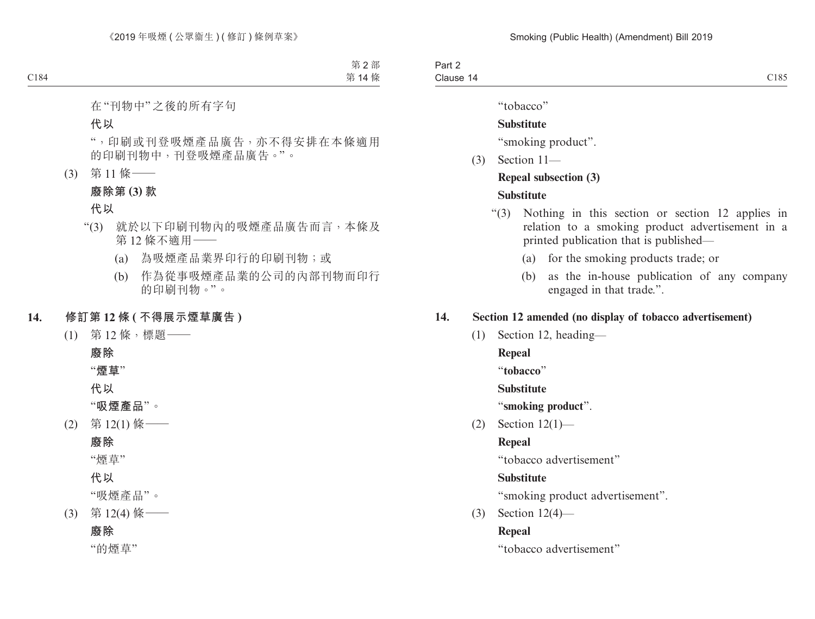Part 2 Clause 14 Clause  $14$  Clause  $14$ 

"tobacco"

## **Substitute**

"smoking product".

(3) Section 11—

# **Repeal subsection (3)**

## **Substitute**

- "(3) Nothing in this section or section 12 applies in relation to a smoking product advertisement in a printed publication that is published—
	- (a) for the smoking products trade; or
	- (b) as the in-house publication of any company engaged in that trade.".

## **14. Section 12 amended (no display of tobacco advertisement)**

(1) Section 12, heading—

**Repeal**

"**tobacco**"

**Substitute**

"**smoking product**".

(2) Section 12(1)—

## **Repeal**

"tobacco advertisement"

## **Substitute**

"smoking product advertisement".

(3) Section 12(4)—

## **Repeal**

"tobacco advertisement"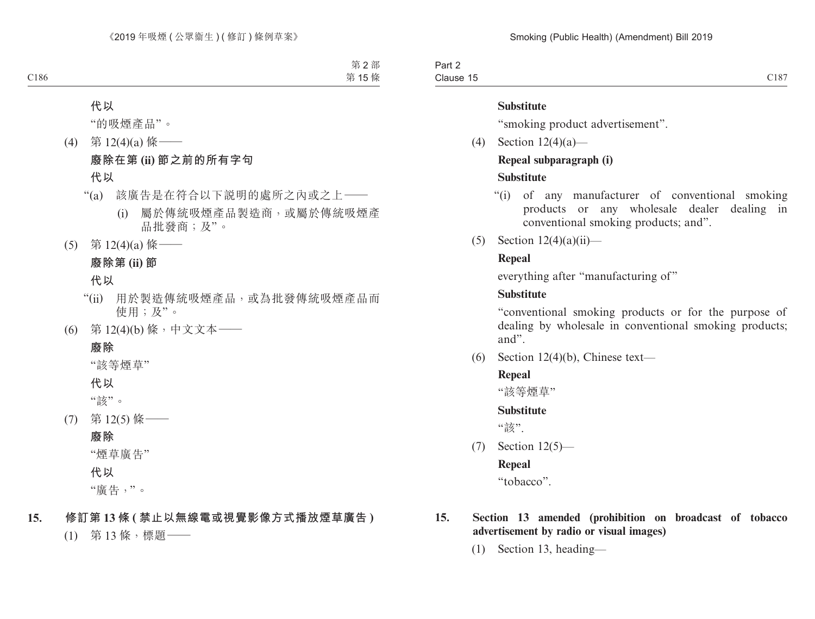Part 2 Clause 15 Clause 15  $C187$ 

#### **Substitute**

"smoking product advertisement".

(4) Section 12(4)(a)—

## **Repeal subparagraph (i)**

## **Substitute**

- "(i) of any manufacturer of conventional smoking products or any wholesale dealer dealing in conventional smoking products; and".
- (5) Section  $12(4)(a)(ii)$ —

## **Repeal**

everything after "manufacturing of"

## **Substitute**

"conventional smoking products or for the purpose of dealing by wholesale in conventional smoking products; and".

(6) Section 12(4)(b), Chinese text—

## **Repeal**

"該等煙草"

#### **Substitute**

"該".

(7) Section 12(5)—

## **Repeal**

"tobacco".

## **15. Section 13 amended (prohibition on broadcast of tobacco advertisement by radio or visual images)**

(1) Section 13, heading—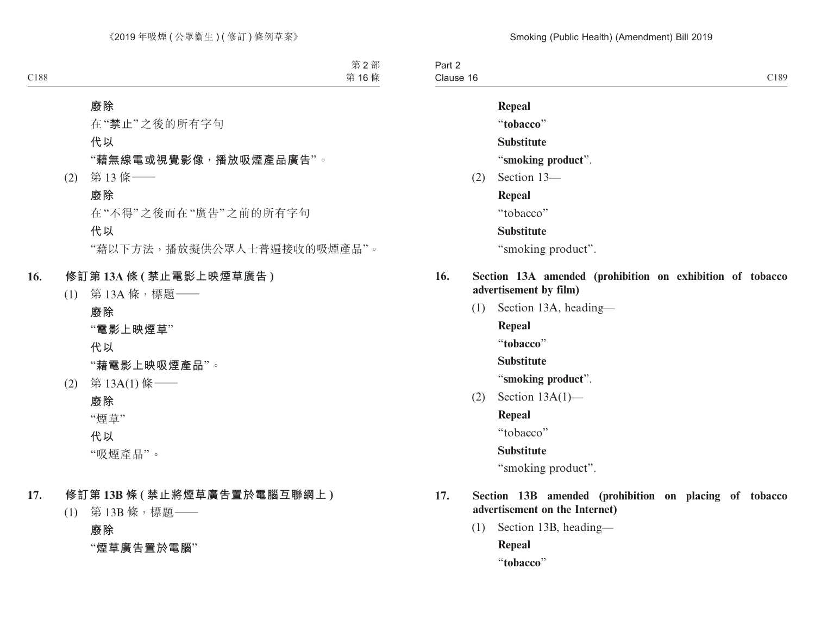Part 2 Clause 16 Clause 16 and 2012 and 2013 and 2014 and 2018 and 2018 and 2018 and 2018 and 2018 and 2018 and 2018 and 2018 a

**Repeal** "**tobacco**" **Substitute** "**smoking product**". (2) Section 13— **Repeal** "tobacco" **Substitute** "smoking product". **16. Section 13A amended (prohibition on exhibition of tobacco advertisement by film)**

(1) Section 13A, heading—

**Repeal**

"**tobacco**"

**Substitute**

"**smoking product**".

(2) Section 13A(1)—

**Repeal**

"tobacco"

**Substitute**

"smoking product".

- **17. Section 13B amended (prohibition on placing of tobacco advertisement on the Internet)**
	- (1) Section 13B, heading— **Repeal** "**tobacco**"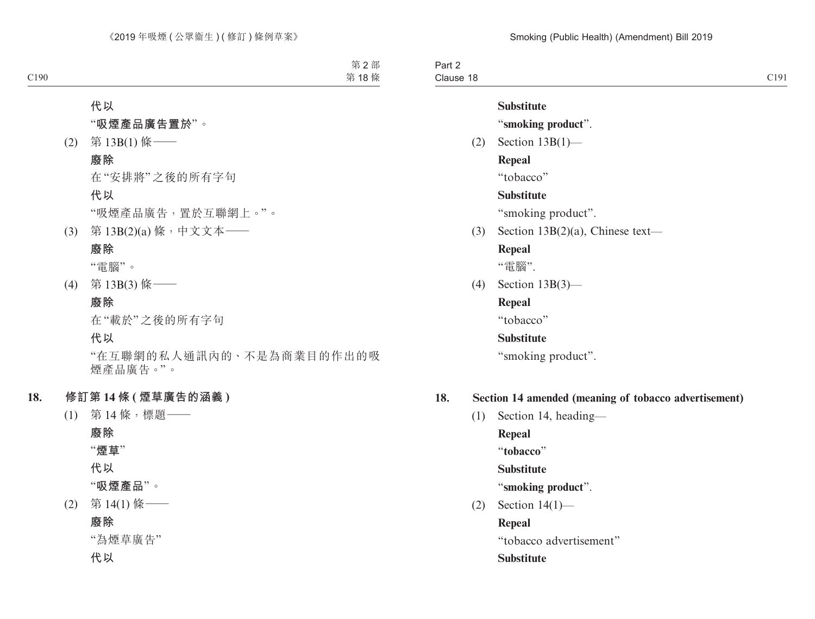Part 2 Clause 18 Clause 18 and 200 and 200 and 200 and 200 and 200 and 200 and 200 and 200 and 200 and 200 and 200 and 200 and 200 and 200 and 200 and 200 and 200 and 200 and 200 and 200 and 200 and 200 and 200 and 200 and 200 and 200 and

# **Substitute**

"**smoking product**".

(2) Section 13B(1)—

**Repeal**

"tobacco"

## **Substitute**

"smoking product".

(3) Section 13B(2)(a), Chinese text—

## **Repeal**

"電腦".

(4) Section 13B(3)—

## **Repeal**

"tobacco"

## **Substitute**

"smoking product".

## **18. Section 14 amended (meaning of tobacco advertisement)**

(1) Section 14, heading— **Repeal**

"**tobacco**"

**Substitute**

## "**smoking product**".

(2) Section 14(1)—

**Repeal**

"tobacco advertisement"

**Substitute**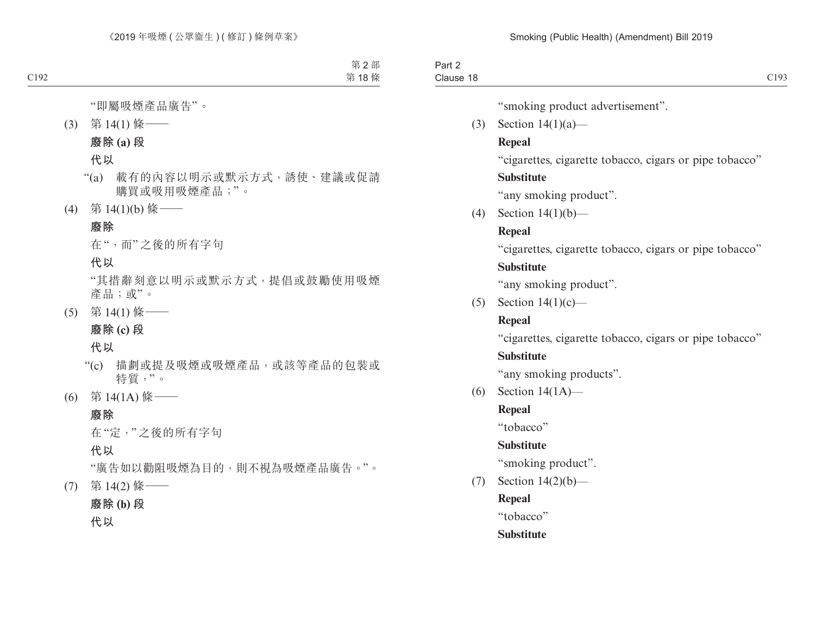Part 2 Clause 18 Clause 18 and 2012 Clause 18 and 2012 Clause 18 and 2019 Clause 19 and 2019 Clause 19 and 2019 Clause 19 and 20

"smoking product advertisement".

(3) Section 14(1)(a)—

## **Repeal**

"cigarettes, cigarette tobacco, cigars or pipe tobacco"

## **Substitute**

"any smoking product".

(4) Section 14(1)(b)—

# **Repeal**

"cigarettes, cigarette tobacco, cigars or pipe tobacco"

## **Substitute**

"any smoking product".

(5) Section  $14(1)(c)$ —

# **Repeal**

"cigarettes, cigarette tobacco, cigars or pipe tobacco"

# **Substitute**

"any smoking products".

(6) Section 14(1A)—

# **Repeal**

"tobacco"

# **Substitute**

"smoking product".

(7) Section 14(2)(b)—

**Repeal**

"tobacco"

# **Substitute**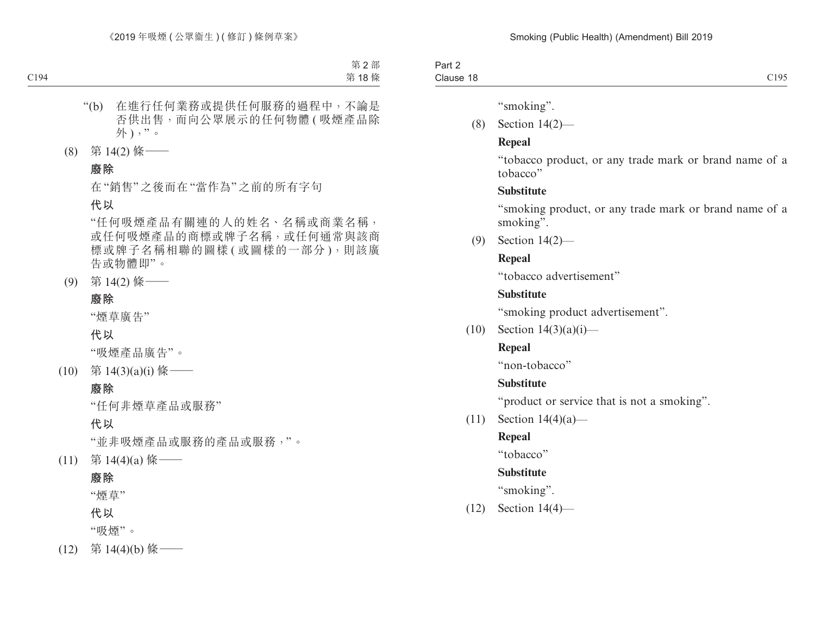| ⊤an ∠<br>$  -$             |                                |
|----------------------------|--------------------------------|
| $\sim$<br>-40<br>Clause 18 | $^{\circ}105$<br>$\sim$ $\sim$ |

"smoking".

(8) Section 14(2)—

## **Repeal**

"tobacco product, or any trade mark or brand name of a tobacco"

## **Substitute**

"smoking product, or any trade mark or brand name of a smoking".

(9) Section 14(2)—

# **Repeal**

"tobacco advertisement"

# **Substitute**

"smoking product advertisement".

 $(10)$  Section  $14(3)(a)(i)$ —

# **Repeal**

"non-tobacco"

# **Substitute**

"product or service that is not a smoking".

(11) Section 14(4)(a)—

# **Repeal**

"tobacco"

# **Substitute**

"smoking".

(12) Section 14(4)—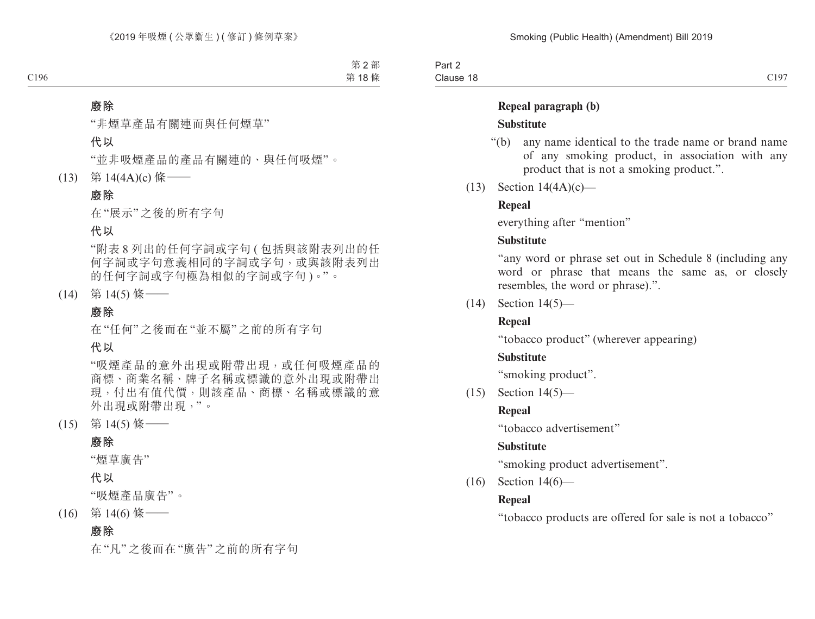Part 2 Clause 18  $Clause$  18  $Cl97$ 

#### **Repeal paragraph (b)**

#### **Substitute**

- "(b) any name identical to the trade name or brand name of any smoking product, in association with any product that is not a smoking product.".
- (13) Section 14(4A)(c)—

## **Repeal**

everything after "mention"

## **Substitute**

"any word or phrase set out in Schedule 8 (including any word or phrase that means the same as, or closely resembles, the word or phrase).".

(14) Section 14(5)—

## **Repeal**

"tobacco product" (wherever appearing)

## **Substitute**

"smoking product".

(15) Section 14(5)—

## **Repeal**

"tobacco advertisement"

## **Substitute**

"smoking product advertisement".

(16) Section 14(6)—

## **Repeal**

"tobacco products are offered for sale is not a tobacco"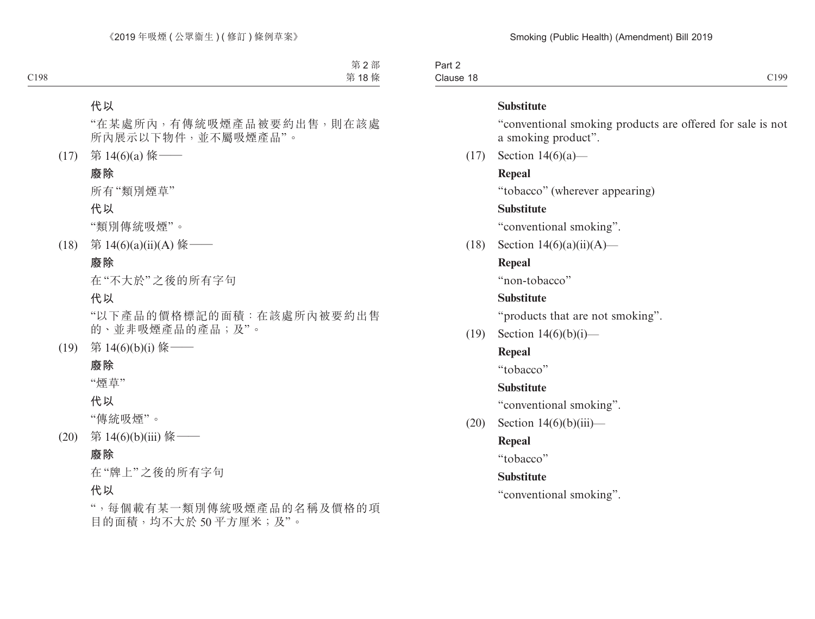Part 2 Clause 18 Clause 18 and 200 and 200 and 200 and 200 and 200 and 200 and 200 and 200 and 200 and 200 and 200 and 200 and 200 and 200 and 200 and 200 and 200 and 200 and 200 and 200 and 200 and 200 and 200 and 200 and 200 and 200 and

#### **Substitute**

"conventional smoking products are offered for sale is not a smoking product".

(17) Section 14(6)(a)—

#### **Repeal**

"tobacco" (wherever appearing)

#### **Substitute**

"conventional smoking".

(18) Section  $14(6)(a)(ii)(A)$ —

## **Repeal**

"non-tobacco"

#### **Substitute**

"products that are not smoking".

(19) Section  $14(6)(b)(i)$ —

#### **Repeal**

"tobacco"

#### **Substitute**

"conventional smoking".

 $(20)$  Section 14 $(6)(b)(iii)$ —

## **Repeal**

"tobacco"

#### **Substitute**

"conventional smoking".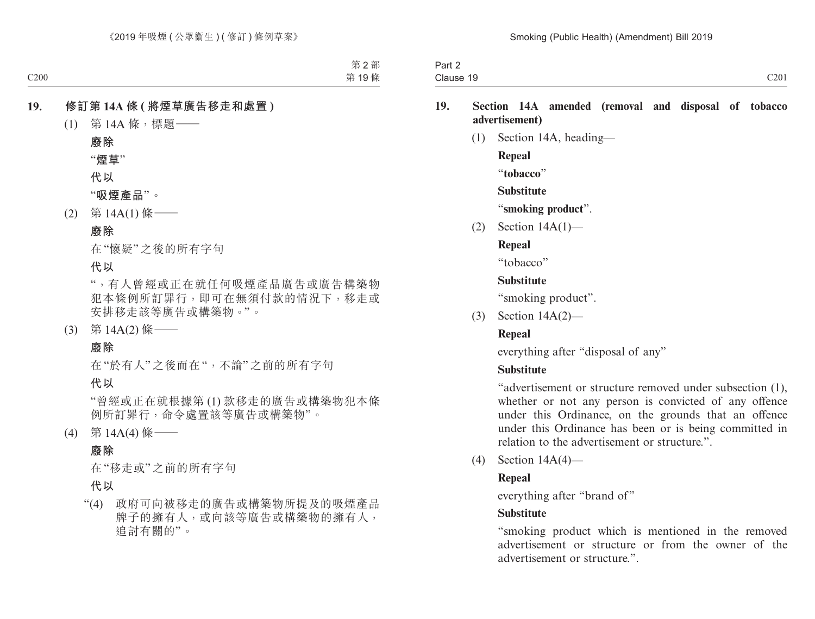| $ -$<br>$\overline{\phantom{a}}$<br>າ~~+<br><b>Fail</b> |                                            |
|---------------------------------------------------------|--------------------------------------------|
| $\sim$<br>Clause<br>$\cdots$                            | C201<br>$\sim$ $\sim$ $\sim$ $\sim$ $\sim$ |

#### **19. Section 14A amended (removal and disposal of tobacco advertisement)**

(1) Section 14A, heading— **Repeal** "**tobacco**" **Substitute** "**smoking product**". (2) Section 14A(1)—

## **Repeal**

"tobacco"

## **Substitute**

"smoking product".

(3) Section 14A(2)—

## **Repeal**

everything after "disposal of any"

## **Substitute**

"advertisement or structure removed under subsection (1), whether or not any person is convicted of any offence under this Ordinance, on the grounds that an offence under this Ordinance has been or is being committed in relation to the advertisement or structure."

(4) Section 14A(4)—

## **Repeal**

everything after "brand of"

## **Substitute**

"smoking product which is mentioned in the removed advertisement or structure or from the owner of the advertisement or structure."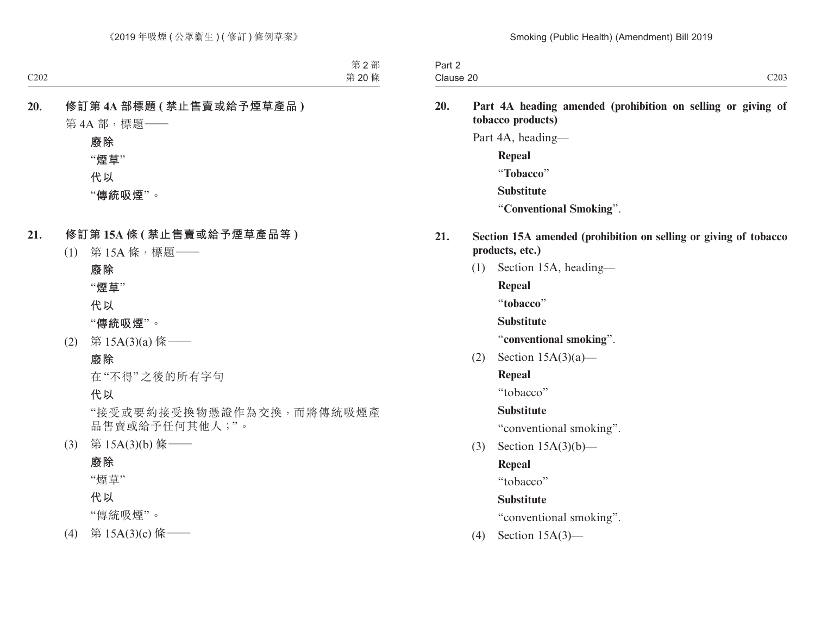| $\sim$<br>Jort.<br>Part Z |      |
|---------------------------|------|
| Clause 20                 | C203 |

**20. Part 4A heading amended (prohibition on selling or giving of tobacco products)**

Part 4A, heading—

**Repeal** "**Tobacco**" **Substitute** "**Conventional Smoking**".

- **21. Section 15A amended (prohibition on selling or giving of tobacco products, etc.)**
	- (1) Section 15A, heading—
		- **Repeal**

"**tobacco**"

**Substitute**

"**conventional smoking**".

(2) Section 15A(3)(a)—

## **Repeal**

"tobacco"

## **Substitute**

"conventional smoking".

(3) Section 15A(3)(b)—

# **Repeal**

"tobacco"

## **Substitute**

"conventional smoking".

(4) Section 15A(3)—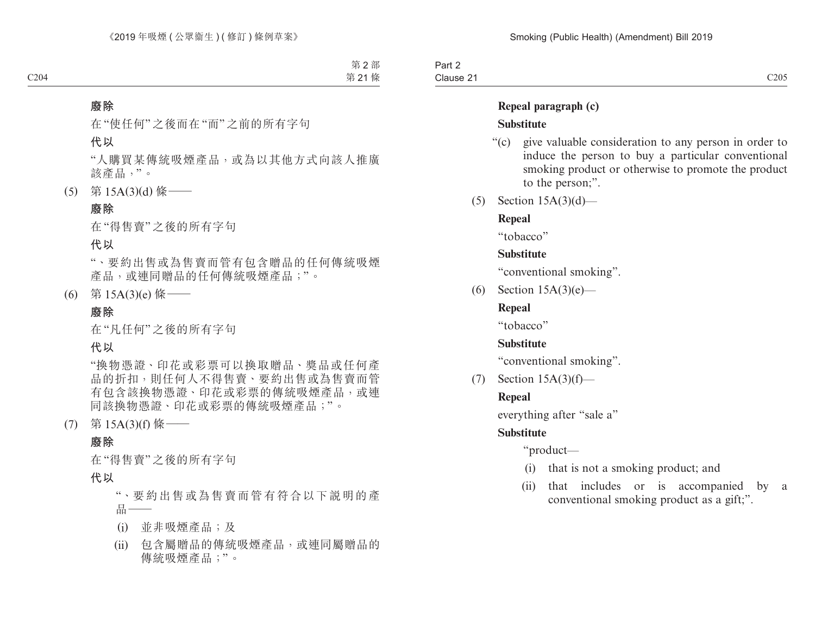Part 2 Clause 21 Clause 21  $\sim$  205

## **Repeal paragraph (c)**

#### **Substitute**

- "(c) give valuable consideration to any person in order to induce the person to buy a particular conventional smoking product or otherwise to promote the product to the person;".
- (5) Section 15A(3)(d)—

## **Repeal**

"tobacco"

#### **Substitute**

"conventional smoking".

(6) Section  $15A(3)(e)$ —

## **Repeal**

"tobacco"

#### **Substitute**

"conventional smoking".

(7) Section 15A(3)(f)—

## **Repeal**

everything after "sale a"

## **Substitute**

"product—

- (i) that is not a smoking product; and
- (ii) that includes or is accompanied by a conventional smoking product as a gift;".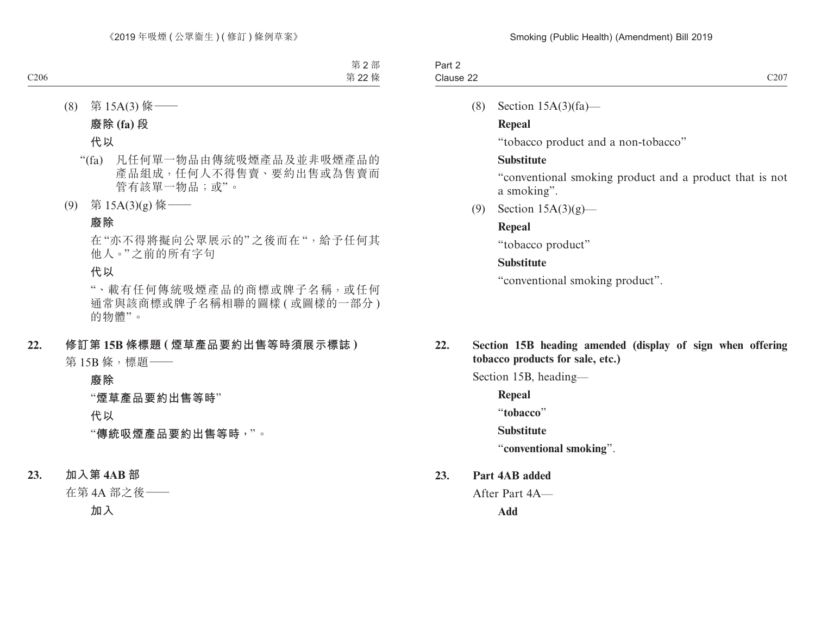| $\overline{\phantom{0}}$<br>$.$ $.$<br><b>Fail</b> |      |
|----------------------------------------------------|------|
| Clause 22<br>$\sim$                                | C207 |

(8) Section 15A(3)(fa)—

## **Repeal**

"tobacco product and a non-tobacco"

## **Substitute**

"conventional smoking product and a product that is not a smoking".

(9) Section 15A(3)(g)—

## **Repeal**

"tobacco product"

## **Substitute**

"conventional smoking product".

## **22. Section 15B heading amended (display of sign when offering tobacco products for sale, etc.)**

Section 15B, heading—

**Repeal**

"**tobacco**"

**Substitute**

"**conventional smoking**".

## **23. Part 4AB added**

After Part 4A— **Add**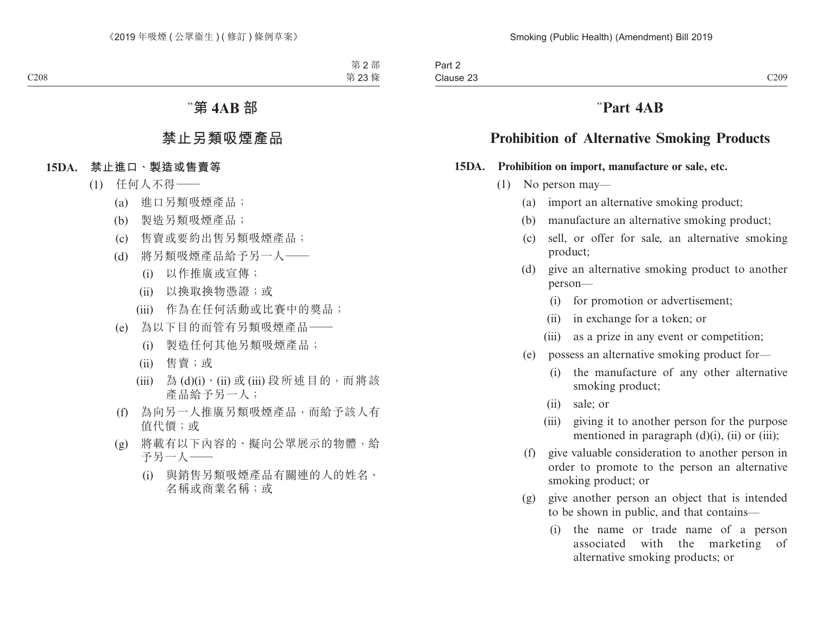# "**Part 4AB**

# **Prohibition of Alternative Smoking Products**

#### **15DA. Prohibition on import, manufacture or sale, etc.**

- (1) No person may—
	- (a) import an alternative smoking product;
	- (b) manufacture an alternative smoking product;
	- (c) sell, or offer for sale, an alternative smoking product;
	- (d) give an alternative smoking product to another person—
		- (i) for promotion or advertisement;
		- (ii) in exchange for a token; or
		- (iii) as a prize in any event or competition;
	- (e) possess an alternative smoking product for—
		- (i) the manufacture of any other alternative smoking product;
		- (ii) sale; or
		- (iii) giving it to another person for the purpose mentioned in paragraph (d)(i), (ii) or (iii);
	- (f) give valuable consideration to another person in order to promote to the person an alternative smoking product; or
	- (g) give another person an object that is intended to be shown in public, and that contains—
		- (i) the name or trade name of a person associated with the marketing of alternative smoking products; or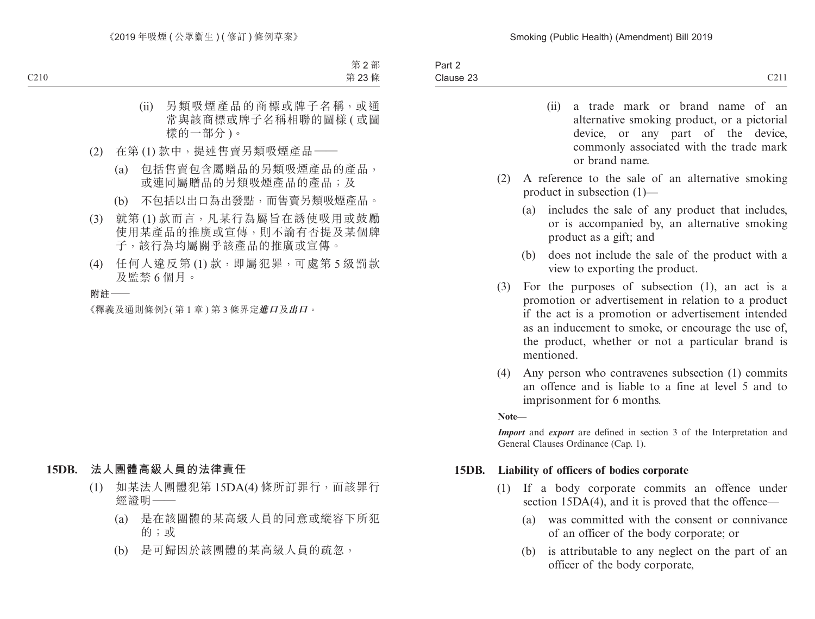- (ii) a trade mark or brand name of an alternative smoking product, or a pictorial device, or any part of the device, commonly associated with the trade mark or brand name.
- (2) A reference to the sale of an alternative smoking product in subsection (1)—
	- (a) includes the sale of any product that includes, or is accompanied by, an alternative smoking product as a gift; and
	- (b) does not include the sale of the product with a view to exporting the product.
- (3) For the purposes of subsection (1), an act is a promotion or advertisement in relation to a product if the act is a promotion or advertisement intended as an inducement to smoke, or encourage the use of, the product, whether or not a particular brand is mentioned.
- (4) Any person who contravenes subsection (1) commits an offence and is liable to a fine at level 5 and to imprisonment for 6 months.

**Note—**

*Import* and *export* are defined in section 3 of the Interpretation and General Clauses Ordinance (Cap. 1).

#### **15DB. Liability of officers of bodies corporate**

- (1) If a body corporate commits an offence under section 15DA(4), and it is proved that the offence—
	- (a) was committed with the consent or connivance of an officer of the body corporate; or
	- (b) is attributable to any neglect on the part of an officer of the body corporate,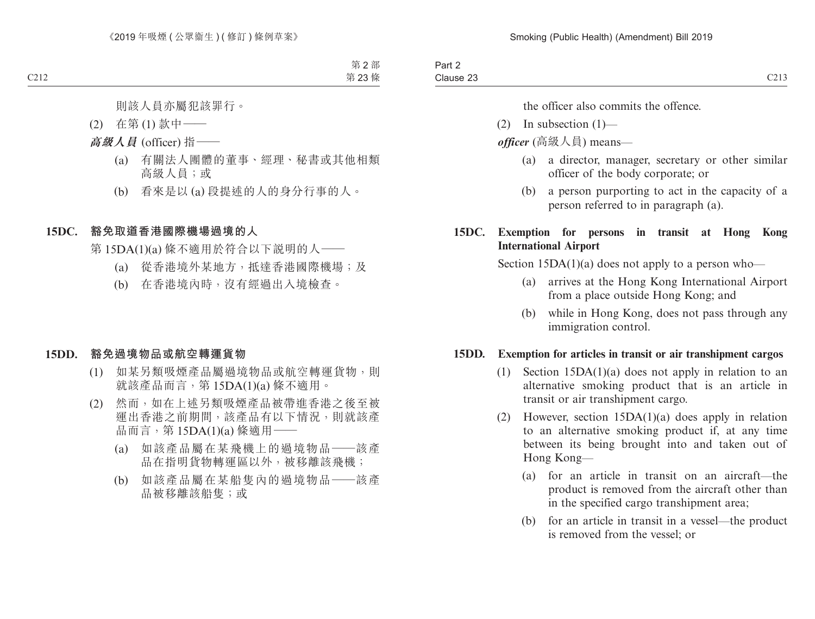the officer also commits the offence.

- $(2)$  In subsection  $(1)$ —
- *officer* (高級人員) means—
	- (a) a director, manager, secretary or other similar officer of the body corporate; or
	- (b) a person purporting to act in the capacity of a person referred to in paragraph (a).

## **15DC. Exemption for persons in transit at Hong Kong International Airport**

Section  $15DA(1)(a)$  does not apply to a person who—

- (a) arrives at the Hong Kong International Airport from a place outside Hong Kong; and
- (b) while in Hong Kong, does not pass through any immigration control.

#### **15DD. Exemption for articles in transit or air transhipment cargos**

- (1) Section 15DA(1)(a) does not apply in relation to an alternative smoking product that is an article in transit or air transhipment cargo.
- (2) However, section 15DA(1)(a) does apply in relation to an alternative smoking product if, at any time between its being brought into and taken out of Hong Kong—
	- (a) for an article in transit on an aircraft—the product is removed from the aircraft other than in the specified cargo transhipment area;
	- (b) for an article in transit in a vessel—the product is removed from the vessel; or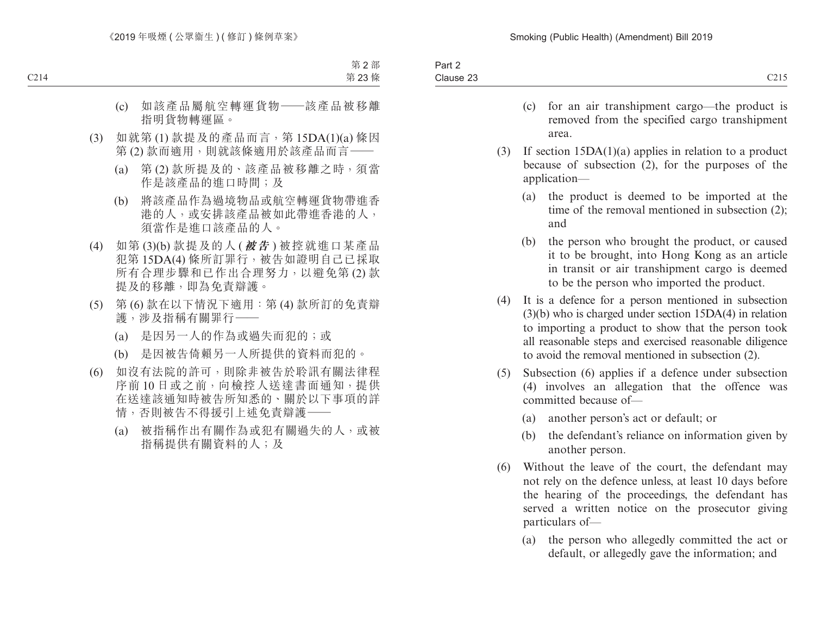| $\sim$ $\sim$ $\sim$<br>Clause 23<br><u>.</u> | Part $\sim$ |  |
|-----------------------------------------------|-------------|--|
|                                               |             |  |

- (c) for an air transhipment cargo—the product is removed from the specified cargo transhipment area.
- (3) If section 15DA(1)(a) applies in relation to a product because of subsection (2), for the purposes of the application—
	- (a) the product is deemed to be imported at the time of the removal mentioned in subsection (2); and
	- (b) the person who brought the product, or caused it to be brought, into Hong Kong as an article in transit or air transhipment cargo is deemed to be the person who imported the product.
- (4) It is a defence for a person mentioned in subsection (3)(b) who is charged under section 15DA(4) in relation to importing a product to show that the person took all reasonable steps and exercised reasonable diligence to avoid the removal mentioned in subsection (2).
- (5) Subsection (6) applies if a defence under subsection (4) involves an allegation that the offence was committed because of—
	- (a) another person's act or default; or
	- (b) the defendant's reliance on information given by another person.
- (6) Without the leave of the court, the defendant may not rely on the defence unless, at least 10 days before the hearing of the proceedings, the defendant has served a written notice on the prosecutor giving particulars of—
	- (a) the person who allegedly committed the act or default, or allegedly gave the information; and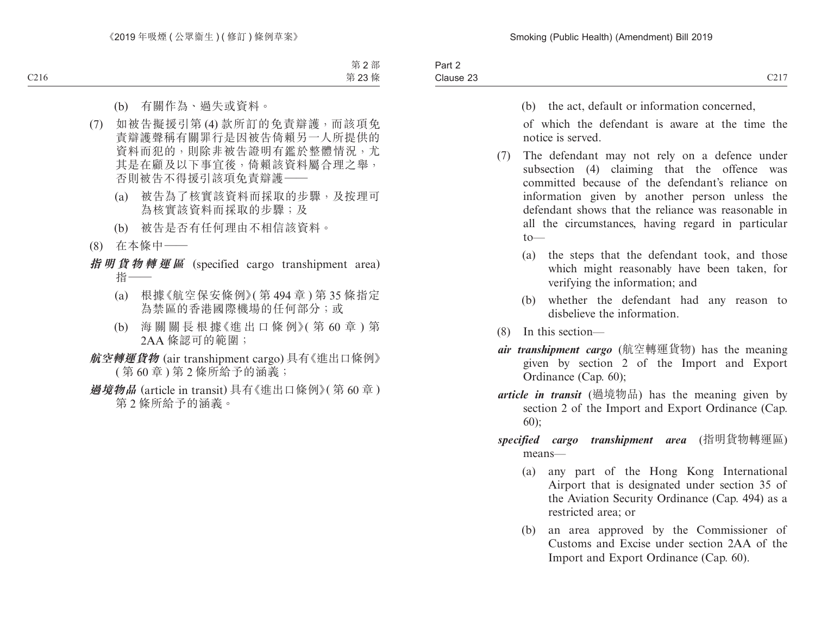| $\sim$<br>$\sim$<br>Part 2 |                        |
|----------------------------|------------------------|
| Clause 23                  | $\bigcap$ 17<br>U4 1 1 |

(b) the act, default or information concerned,

of which the defendant is aware at the time the notice is served.

- (7) The defendant may not rely on a defence under subsection (4) claiming that the offence was committed because of the defendant's reliance on information given by another person unless the defendant shows that the reliance was reasonable in all the circumstances, having regard in particular  $to$ —
	- (a) the steps that the defendant took, and those which might reasonably have been taken, for verifying the information; and
	- (b) whether the defendant had any reason to disbelieve the information.
- (8) In this section—
- *air transhipment cargo* (航空轉運貨物) has the meaning given by section 2 of the Import and Export Ordinance (Cap. 60);
- *article in transit* (過境物品) has the meaning given by section 2 of the Import and Export Ordinance (Cap. 60);
- *specified cargo transhipment area* (指明貨物轉運區) means—
	- (a) any part of the Hong Kong International Airport that is designated under section 35 of the Aviation Security Ordinance (Cap. 494) as a restricted area; or
	- (b) an area approved by the Commissioner of Customs and Excise under section 2AA of the Import and Export Ordinance (Cap. 60).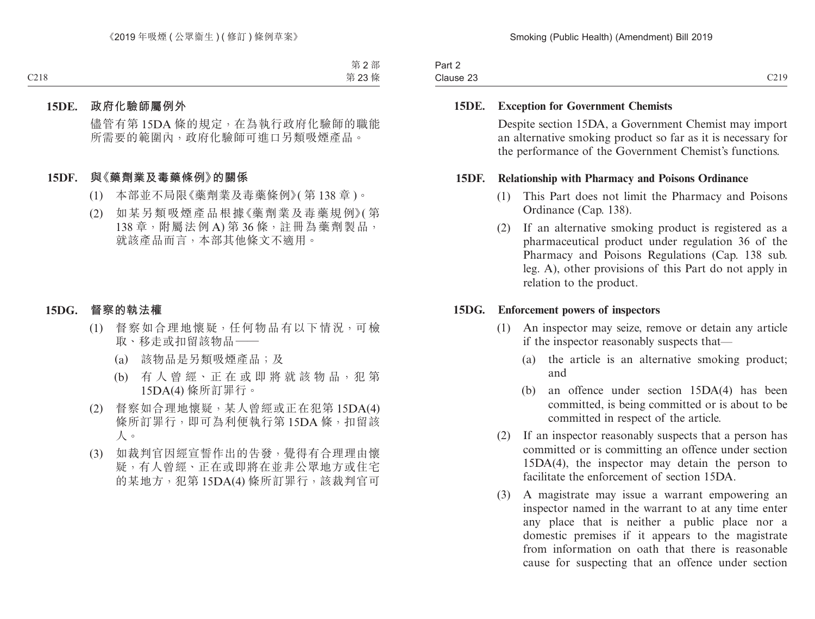| Part 2    |                                            |
|-----------|--------------------------------------------|
| Clause 23 | $\gamma$ 19<br>$\sim$ $\sim$ $\sim$ $\sim$ |

#### **15DE. Exception for Government Chemists**

Despite section 15DA, a Government Chemist may import an alternative smoking product so far as it is necessary for the performance of the Government Chemist's functions.

#### **15DF. Relationship with Pharmacy and Poisons Ordinance**

- (1) This Part does not limit the Pharmacy and Poisons Ordinance (Cap. 138).
- (2) If an alternative smoking product is registered as a pharmaceutical product under regulation 36 of the Pharmacy and Poisons Regulations (Cap. 138 sub. leg. A), other provisions of this Part do not apply in relation to the product.

#### **15DG. Enforcement powers of inspectors**

- (1) An inspector may seize, remove or detain any article if the inspector reasonably suspects that—
	- (a) the article is an alternative smoking product; and
	- (b) an offence under section 15DA(4) has been committed, is being committed or is about to be committed in respect of the article.
- (2) If an inspector reasonably suspects that a person has committed or is committing an offence under section 15DA(4), the inspector may detain the person to facilitate the enforcement of section 15DA.
- (3) A magistrate may issue a warrant empowering an inspector named in the warrant to at any time enter any place that is neither a public place nor a domestic premises if it appears to the magistrate from information on oath that there is reasonable cause for suspecting that an offence under section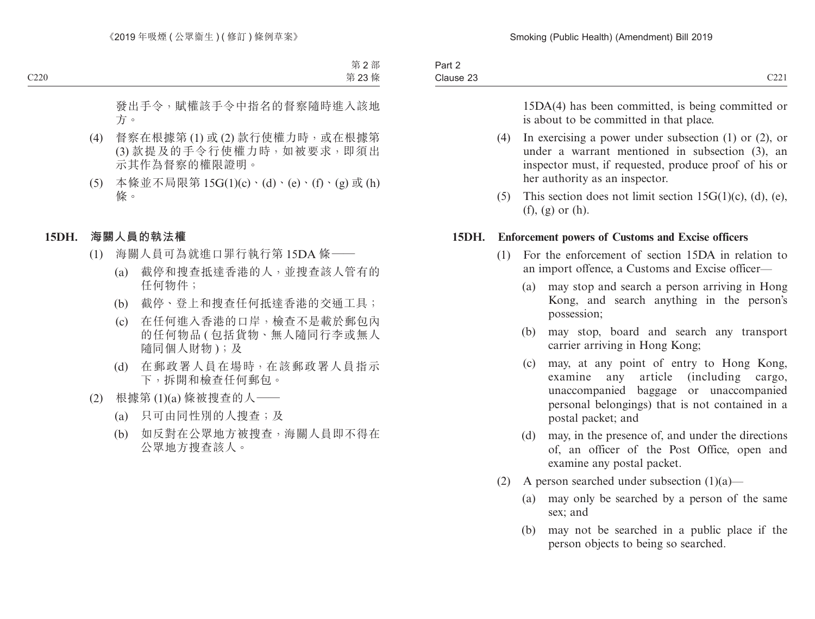15DA(4) has been committed, is being committed or is about to be committed in that place.

- (4) In exercising a power under subsection (1) or (2), or under a warrant mentioned in subsection (3), an inspector must, if requested, produce proof of his or her authority as an inspector.
- (5) This section does not limit section  $15G(1)(c)$ , (d), (e), (f), (g) or (h).

#### **15DH. Enforcement powers of Customs and Excise officers**

- (1) For the enforcement of section 15DA in relation to an import offence, a Customs and Excise officer—
	- (a) may stop and search a person arriving in Hong Kong, and search anything in the person's possession;
	- (b) may stop, board and search any transport carrier arriving in Hong Kong;
	- (c) may, at any point of entry to Hong Kong, examine any article (including cargo, unaccompanied baggage or unaccompanied personal belongings) that is not contained in a postal packet; and
	- (d) may, in the presence of, and under the directions of, an officer of the Post Office, open and examine any postal packet.
- (2) A person searched under subsection  $(1)(a)$ 
	- (a) may only be searched by a person of the same sex; and
	- (b) may not be searched in a public place if the person objects to being so searched.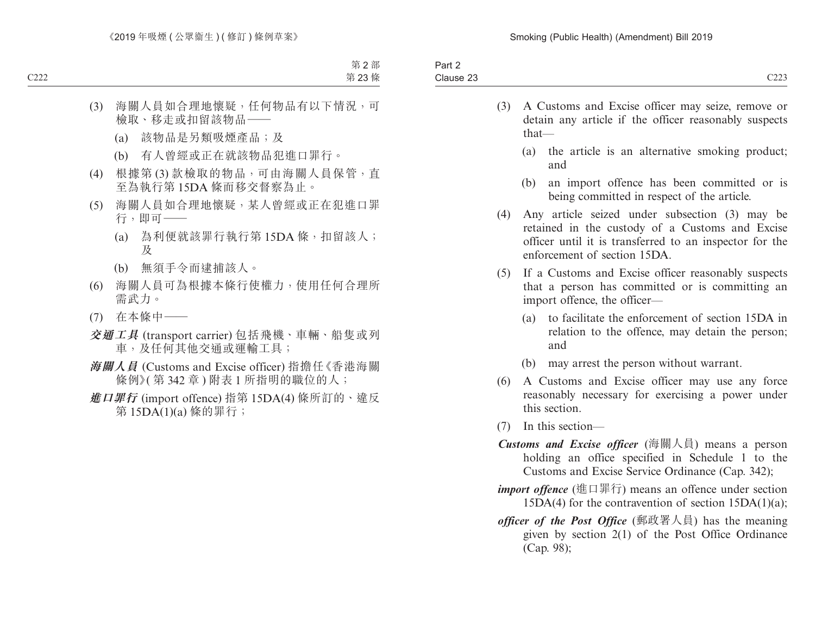| Part 2                        |                         |
|-------------------------------|-------------------------|
| $\sim$<br>$\sim$<br>Clause 23 | $\sim$<br>◡ <i>▃▃</i> 、 |
|                               |                         |

- (3) A Customs and Excise officer may seize, remove or detain any article if the officer reasonably suspects that—
	- (a) the article is an alternative smoking product; and
	- (b) an import offence has been committed or is being committed in respect of the article.
- (4) Any article seized under subsection (3) may be retained in the custody of a Customs and Excise officer until it is transferred to an inspector for the enforcement of section 15DA.
- (5) If a Customs and Excise officer reasonably suspects that a person has committed or is committing an import offence, the officer—
	- (a) to facilitate the enforcement of section 15DA in relation to the offence, may detain the person; and
	- (b) may arrest the person without warrant.
- (6) A Customs and Excise officer may use any force reasonably necessary for exercising a power under this section.
- (7) In this section—
- *Customs and Excise officer* (海關人員) means a person holding an office specified in Schedule 1 to the Customs and Excise Service Ordinance (Cap. 342);
- *import offence* (進口罪行) means an offence under section  $15DA(4)$  for the contravention of section  $15DA(1)(a)$ ;
- *officer of the Post Office* (郵政署人員) has the meaning given by section 2(1) of the Post Office Ordinance (Cap. 98);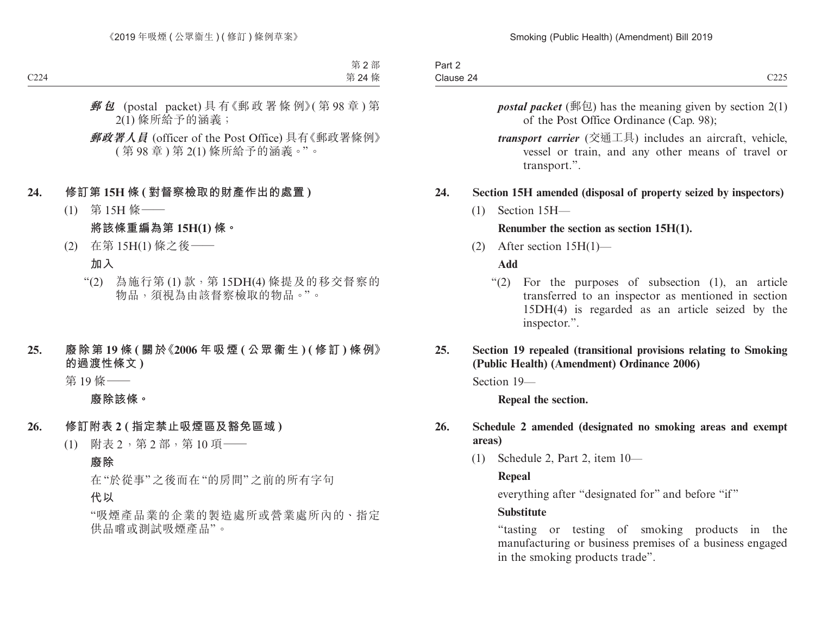| Part 2    |                     |
|-----------|---------------------|
| Clause 24 | $\cap$<br>$\cup$ 40 |

- *postal packet* (郵包) has the meaning given by section  $2(1)$ of the Post Office Ordinance (Cap. 98);
- *transport carrier* (交通工具) includes an aircraft, vehicle, vessel or train, and any other means of travel or transport.".

## **24. Section 15H amended (disposal of property seized by inspectors)**

(1) Section 15H—

#### **Renumber the section as section 15H(1).**

(2) After section 15H(1)—

**Add**

- "(2) For the purposes of subsection (1), an article transferred to an inspector as mentioned in section 15DH(4) is regarded as an article seized by the inspector.".
- **25. Section 19 repealed (transitional provisions relating to Smoking (Public Health) (Amendment) Ordinance 2006)**

Section 19—

**Repeal the section.**

#### **26. Schedule 2 amended (designated no smoking areas and exempt areas)**

(1) Schedule 2, Part 2, item 10—

## **Repeal**

everything after "designated for" and before "if"

#### **Substitute**

"tasting or testing of smoking products in the manufacturing or business premises of a business engaged in the smoking products trade".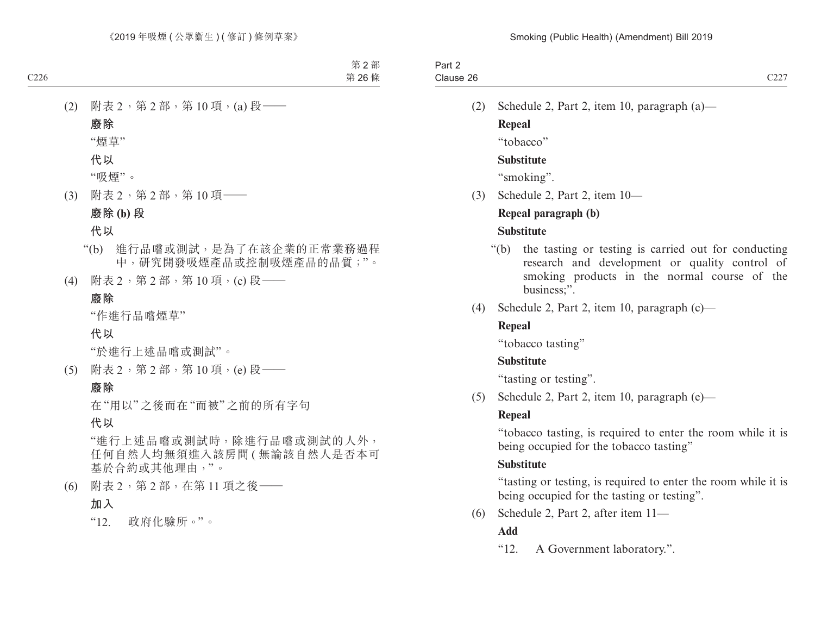(2) Schedule 2, Part 2, item 10, paragraph (a)— **Repeal** "tobacco"

## **Substitute**

"smoking".

(3) Schedule 2, Part 2, item 10—

## **Repeal paragraph (b)**

## **Substitute**

- "(b) the tasting or testing is carried out for conducting research and development or quality control of smoking products in the normal course of the business;".
- (4) Schedule 2, Part 2, item 10, paragraph (c)—

## **Repeal**

"tobacco tasting"

## **Substitute**

"tasting or testing".

(5) Schedule 2, Part 2, item 10, paragraph (e)—

## **Repeal**

"tobacco tasting, is required to enter the room while it is being occupied for the tobacco tasting"

## **Substitute**

"tasting or testing, is required to enter the room while it is being occupied for the tasting or testing".

(6) Schedule 2, Part 2, after item 11—

## **Add**

"12. A Government laboratory.".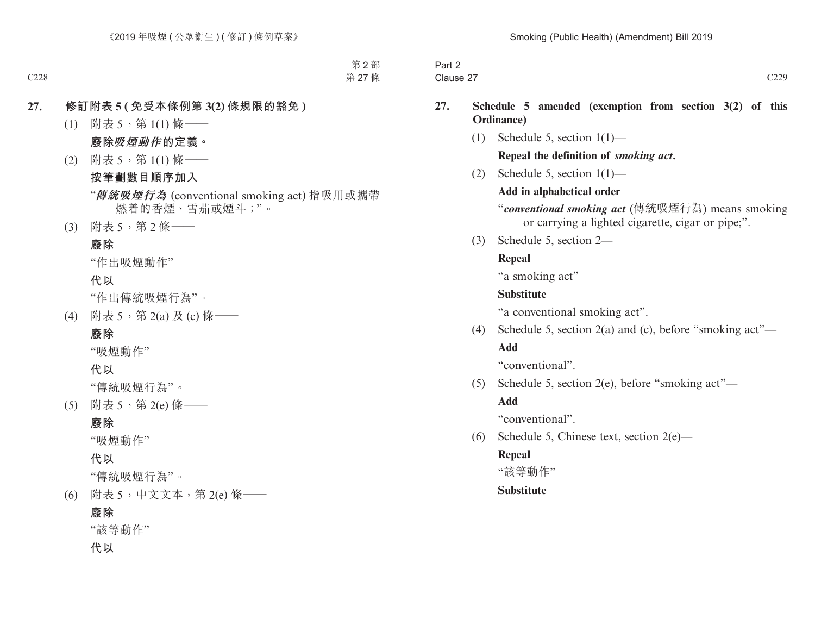| <b>STATE OF BUILDING</b><br>$\overline{\phantom{a}}$<br>າ~~+<br>−ail 4 |                               |
|------------------------------------------------------------------------|-------------------------------|
| $\sim$<br>Clause 2                                                     | $\sim$ $\sim$<br>,,,<br>رىيىپ |

#### **27. Schedule 5 amended (exemption from section 3(2) of this Ordinance)**

(1) Schedule 5, section 1(1)—

#### **Repeal the definition of** *smoking act***.**

(2) Schedule 5, section 1(1)—

#### **Add in alphabetical order**

"*conventional smoking act* (傳統吸煙行為) means smoking or carrying a lighted cigarette, cigar or pipe;".

(3) Schedule 5, section 2—

## **Repeal**

"a smoking act"

## **Substitute**

"a conventional smoking act".

(4) Schedule 5, section 2(a) and (c), before "smoking act"— **Add**

"conventional".

(5) Schedule 5, section 2(e), before "smoking act"—

## **Add**

"conventional".

(6) Schedule 5, Chinese text, section 2(e)—

## **Repeal**

"該等動作"

## **Substitute**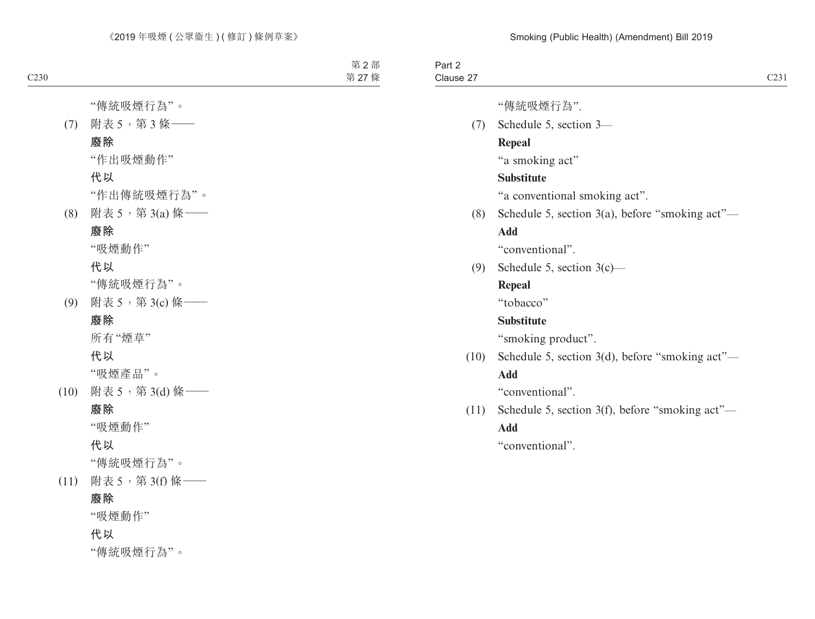| Part 2<br>Clause 27 |                                                 | C <sub>231</sub> |
|---------------------|-------------------------------------------------|------------------|
|                     | "傳統吸煙行為".                                       |                  |
| (7)                 | Schedule 5, section 3-                          |                  |
|                     | <b>Repeal</b>                                   |                  |
|                     | "a smoking act"                                 |                  |
|                     | <b>Substitute</b>                               |                  |
|                     | "a conventional smoking act".                   |                  |
| (8)                 | Schedule 5, section 3(a), before "smoking act"— |                  |
|                     | Add                                             |                  |
|                     | "conventional".                                 |                  |
| (9)                 | Schedule 5, section $3(c)$ —                    |                  |
|                     | <b>Repeal</b>                                   |                  |
|                     | "tobacco"                                       |                  |
|                     | <b>Substitute</b>                               |                  |
|                     | "smoking product".                              |                  |
| (10)                | Schedule 5, section 3(d), before "smoking act"- |                  |
|                     | <b>Add</b>                                      |                  |
|                     | "conventional".                                 |                  |
| (11)                | Schedule 5, section 3(f), before "smoking act"— |                  |
|                     | Add                                             |                  |
|                     | "conventional".                                 |                  |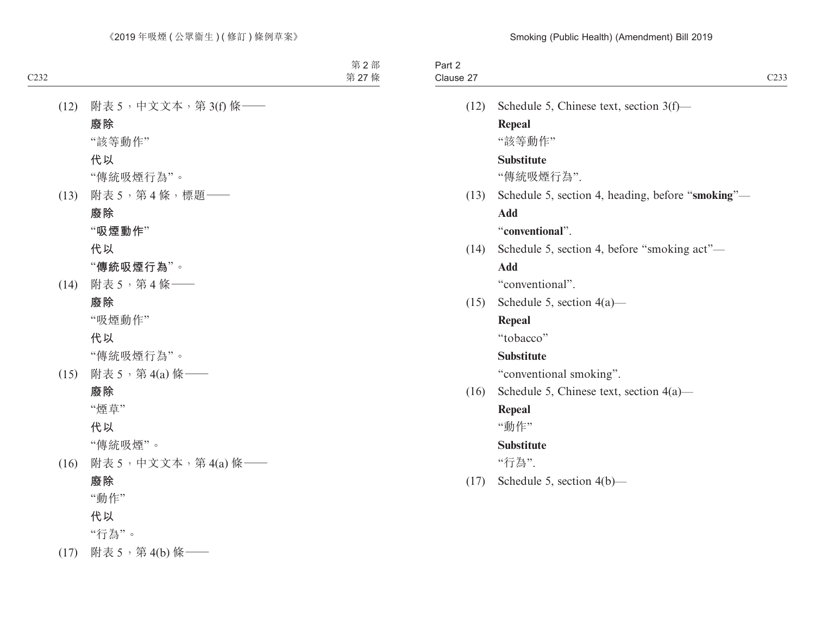| Part 2<br>Clause 27 |                                                   | C <sub>233</sub> |
|---------------------|---------------------------------------------------|------------------|
| (12)                | Schedule 5, Chinese text, section 3(f)-           |                  |
|                     | Repeal                                            |                  |
|                     | "該等動作"                                            |                  |
|                     | <b>Substitute</b>                                 |                  |
|                     | "傳統吸煙行為".                                         |                  |
| (13)                | Schedule 5, section 4, heading, before "smoking"- |                  |
|                     | <b>Add</b>                                        |                  |
|                     | "conventional".                                   |                  |
| (14)                | Schedule 5, section 4, before "smoking act"-      |                  |
|                     | <b>Add</b>                                        |                  |
|                     | "conventional".                                   |                  |
| (15)                | Schedule 5, section $4(a)$ —                      |                  |
|                     | Repeal                                            |                  |
|                     | "tobacco"                                         |                  |
|                     | <b>Substitute</b>                                 |                  |
|                     | "conventional smoking".                           |                  |
| (16)                | Schedule 5, Chinese text, section $4(a)$ —        |                  |
|                     | Repeal                                            |                  |
|                     | "動作"                                              |                  |
|                     | <b>Substitute</b>                                 |                  |
|                     | "行為".                                             |                  |
| (17)                | Schedule 5, section 4(b)-                         |                  |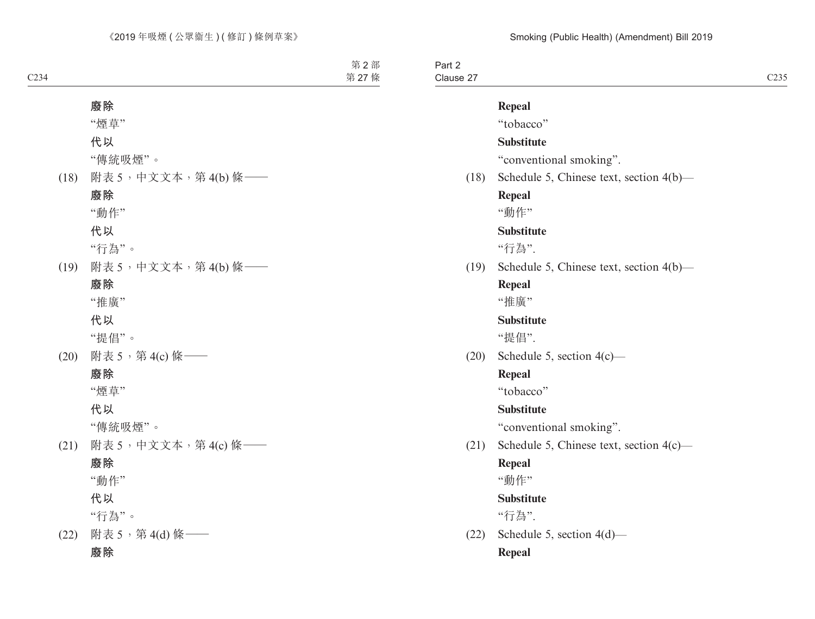Part 2 Clause 27 Clause 27 C235

# **Repeal**

"tobacco"

#### **Substitute**

"conventional smoking".

(18) Schedule 5, Chinese text, section 4(b)—

#### **Repeal**

"動作"

## **Substitute**

"行為".

(19) Schedule 5, Chinese text, section 4(b)—

#### **Repeal**

"推廣"

#### **Substitute**

"提倡".

(20) Schedule 5, section 4(c)—

#### **Repeal**

"tobacco"

#### **Substitute**

"conventional smoking".

(21) Schedule 5, Chinese text, section 4(c)—

#### **Repeal**

"動作"

#### **Substitute**

"行為".

(22) Schedule 5, section 4(d)—

#### **Repeal**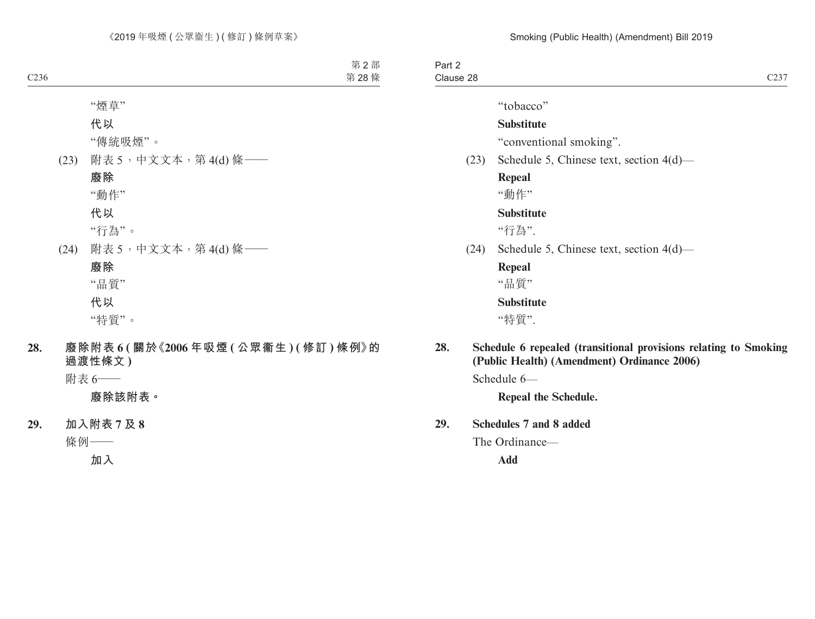Part 2 Clause 28 Clause 28  $C237$ 

"tobacco"

#### **Substitute**

"conventional smoking".

(23) Schedule 5, Chinese text, section 4(d)—

**Repeal**

"動作"

## **Substitute**

"行為".

(24) Schedule 5, Chinese text, section 4(d)—

**Repeal** "品質"

**Substitute**

"特質".

**28. Schedule 6 repealed (transitional provisions relating to Smoking (Public Health) (Amendment) Ordinance 2006)**

Schedule 6—

**Repeal the Schedule.**

#### **29. Schedules 7 and 8 added**

The Ordinance—

**Add**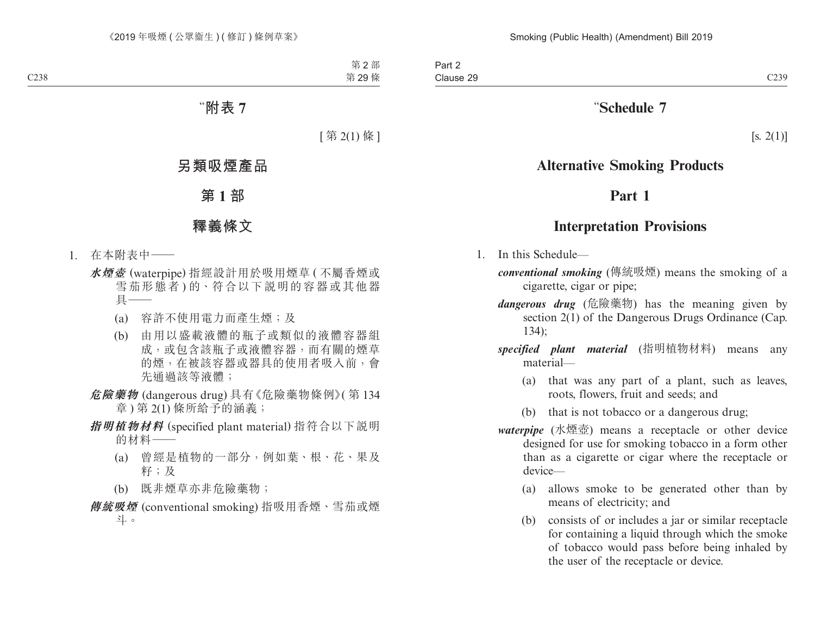# "**Schedule 7**

 $[s. 2(1)]$ 

# **Alternative Smoking Products**

## **Part 1**

## **Interpretation Provisions**

- 1. In this Schedule
	- *conventional smoking* (傳統吸煙) means the smoking of a cigarette, cigar or pipe;
	- *dangerous drug* (危險藥物) has the meaning given by section 2(1) of the Dangerous Drugs Ordinance (Cap. 134);
	- *specified plant material* (指明植物材料) means any material—
		- (a) that was any part of a plant, such as leaves, roots, flowers, fruit and seeds; and
		- (b) that is not tobacco or a dangerous drug;
	- *waterpipe* (水煙壺) means a receptacle or other device designed for use for smoking tobacco in a form other than as a cigarette or cigar where the receptacle or device—
		- (a) allows smoke to be generated other than by means of electricity; and
		- (b) consists of or includes a jar or similar receptacle for containing a liquid through which the smoke of tobacco would pass before being inhaled by the user of the receptacle or device.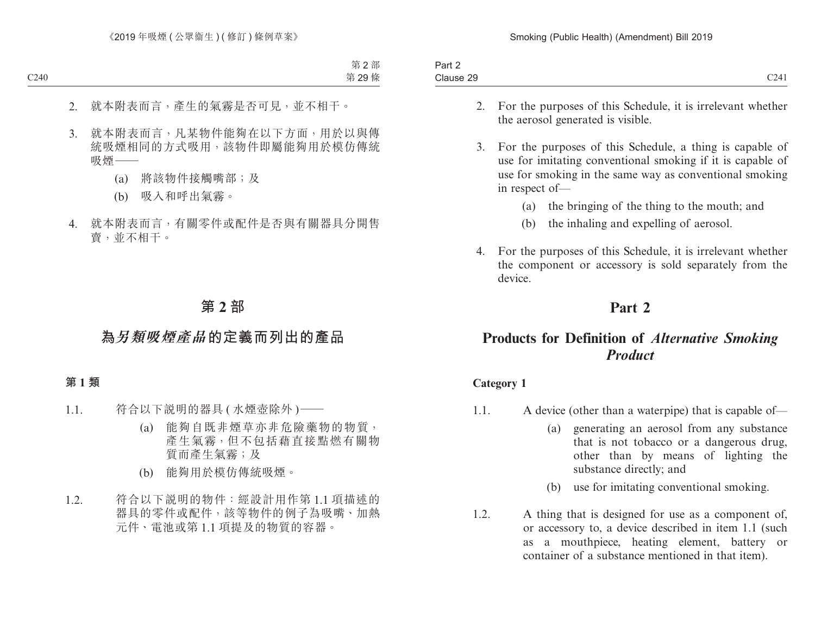| <b>Contract Contract Contract</b><br>Part 2 |                                    |
|---------------------------------------------|------------------------------------|
| Clause 29                                   | $\sim$ $\sim$ $\sim$<br>--<br>◡▱┱ェ |

- 2. For the purposes of this Schedule, it is irrelevant whether the aerosol generated is visible.
- 3. For the purposes of this Schedule, a thing is capable of use for imitating conventional smoking if it is capable of use for smoking in the same way as conventional smoking in respect of—
	- (a) the bringing of the thing to the mouth; and
	- (b) the inhaling and expelling of aerosol.
- 4. For the purposes of this Schedule, it is irrelevant whether the component or accessory is sold separately from the device.

# **Part 2**

# **Products for Definition of** *Alternative Smoking Product*

#### **Category 1**

- 1.1. A device (other than a waterpipe) that is capable of—
	- (a) generating an aerosol from any substance that is not tobacco or a dangerous drug, other than by means of lighting the substance directly; and
	- (b) use for imitating conventional smoking.
- 1.2. A thing that is designed for use as a component of, or accessory to, a device described in item 1.1 (such as a mouthpiece, heating element, battery or container of a substance mentioned in that item).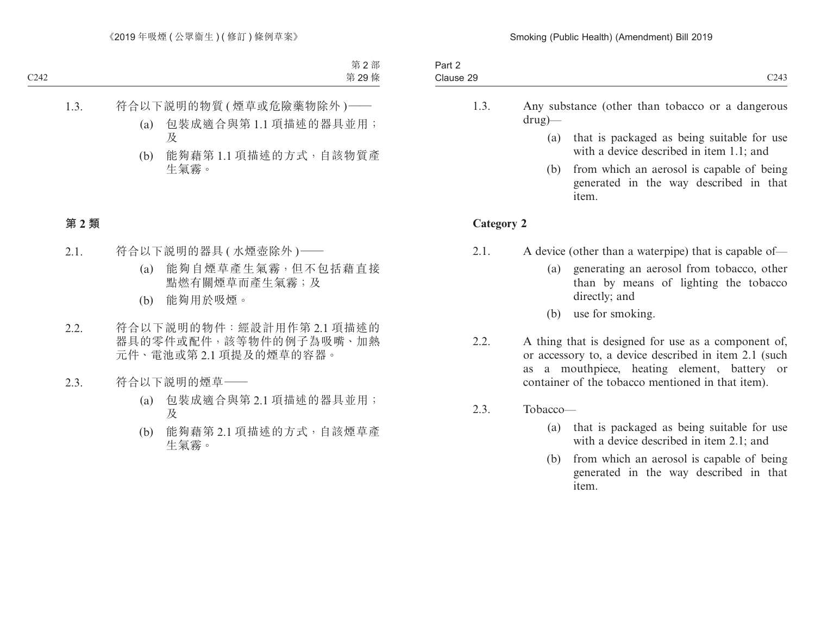- 1.3. Any substance (other than tobacco or a dangerous drug)—
	- (a) that is packaged as being suitable for use with a device described in item 1.1; and
	- (b) from which an aerosol is capable of being generated in the way described in that item.

#### **Category 2**

- 2.1. A device (other than a waterpipe) that is capable of—
	- (a) generating an aerosol from tobacco, other than by means of lighting the tobacco directly; and
	- (b) use for smoking.
- 2.2. A thing that is designed for use as a component of, or accessory to, a device described in item 2.1 (such as a mouthpiece, heating element, battery or container of the tobacco mentioned in that item).
- 2.3. Tobacco—
	- (a) that is packaged as being suitable for use with a device described in item 2.1; and
	- (b) from which an aerosol is capable of being generated in the way described in that item.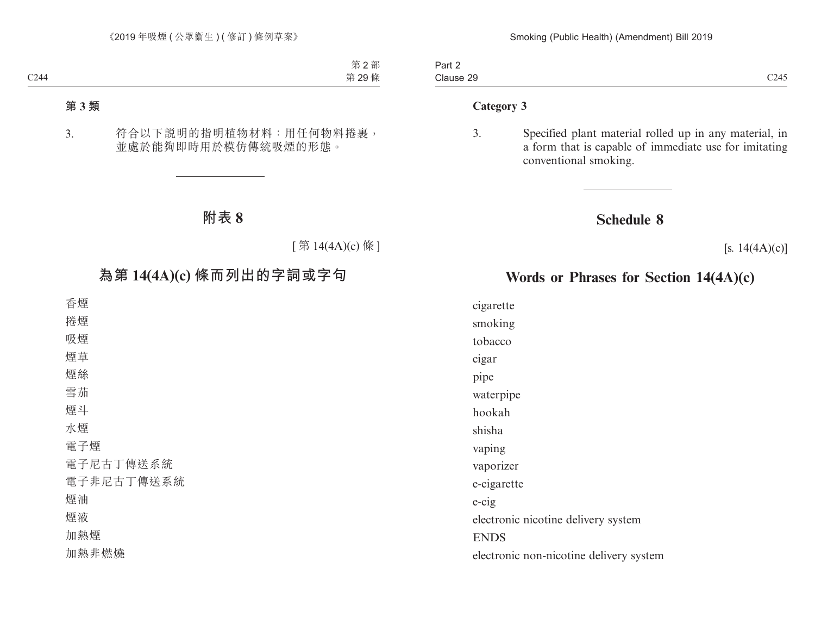Part 2 Clause 29 Clause 29 and 2011 and 2012 and 2014 and 2014 and 2014 and 2014 and 2014 and 2014 and 2014 and 2014 and 2014 and 2014 and 2014 and 2014 and 2014 and 2014 and 2014 and 2014 and 2014 and 2014 and 2014 and 2014 and 2014 and 2

#### **Category 3**

3. Specified plant material rolled up in any material, in a form that is capable of immediate use for imitating conventional smoking.

## **Schedule 8**

 $[s. 14(4A)(c)]$ 

# **Words or Phrases for Section 14(4A)(c)**

cigarette

smoking

tobacco

cigar

pipe

waterpipe

hookah

shisha

vaping

vaporizer

e-cigarette

e-cig

electronic nicotine delivery system

ENDS

electronic non-nicotine delivery system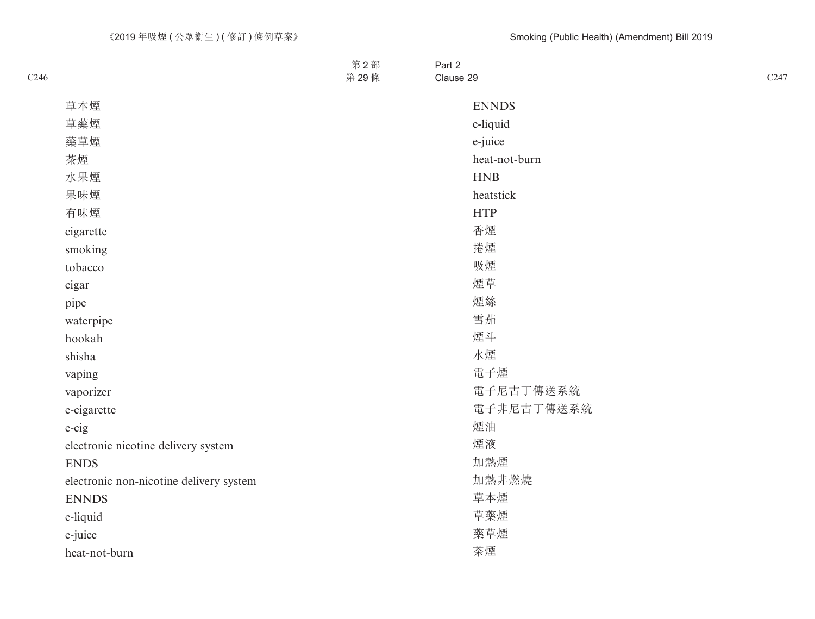| $\overline{\phantom{0}}$<br>Part $\geq$ |                                      |
|-----------------------------------------|--------------------------------------|
| Clause 29                               | $\sim$ $\sim$<br><u> / Д</u><br>-- 1 |
|                                         |                                      |

| <b>ENNDS</b>  |
|---------------|
| e-liquid      |
| e-juice       |
| heat-not-burn |
|               |
| <b>HNB</b>    |
| heatstick     |
| <b>HTP</b>    |
| 香煙            |
| 捲煙            |
| 吸煙            |
| 煙草            |
| 煙絲            |
| 雪茄            |
| 煙斗            |
| 水煙            |
| 電子煙           |
| 電子尼古丁傳送系統     |
| 電子非尼古丁傳送系統    |
| 煙油            |
| 煙液            |
| 加熱煙           |
| 加熱非燃燒         |
| 草本煙           |
| 草藥煙           |
| 藥草煙           |
| 茶煙            |
|               |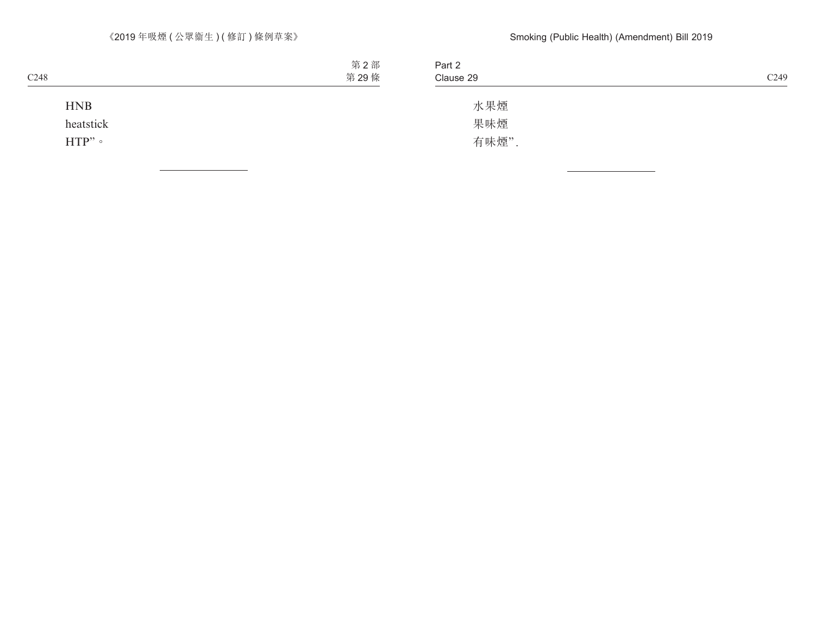| C <sub>249</sub> | Part 2<br>Clause 29 |
|------------------|---------------------|
|                  | 水果煙                 |
|                  | 果味煙                 |
|                  | 有味煙".               |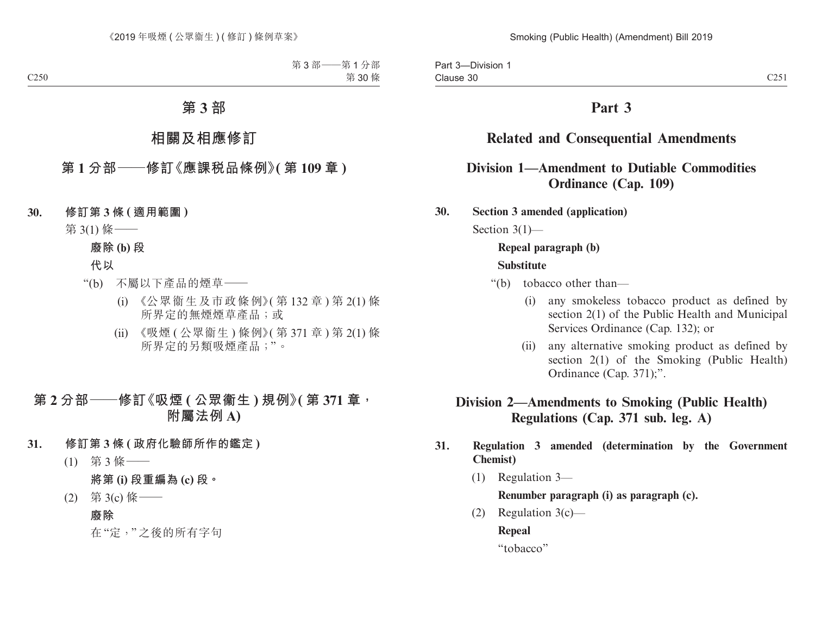# **Part 3**

# **Related and Consequential Amendments**

## **Division 1—Amendment to Dutiable Commodities Ordinance (Cap. 109)**

**30. Section 3 amended (application)**

Section 3(1)—

## **Repeal paragraph (b)**

#### **Substitute**

- "(b) tobacco other than—
	- (i) any smokeless tobacco product as defined by section 2(1) of the Public Health and Municipal Services Ordinance (Cap. 132); or
	- (ii) any alternative smoking product as defined by section 2(1) of the Smoking (Public Health) Ordinance (Cap. 371);".

# **Division 2—Amendments to Smoking (Public Health) Regulations (Cap. 371 sub. leg. A)**

## **31. Regulation 3 amended (determination by the Government Chemist)**

(1) Regulation 3—

**Renumber paragraph (i) as paragraph (c).**

(2) Regulation 3(c)—

**Repeal**

"tobacco"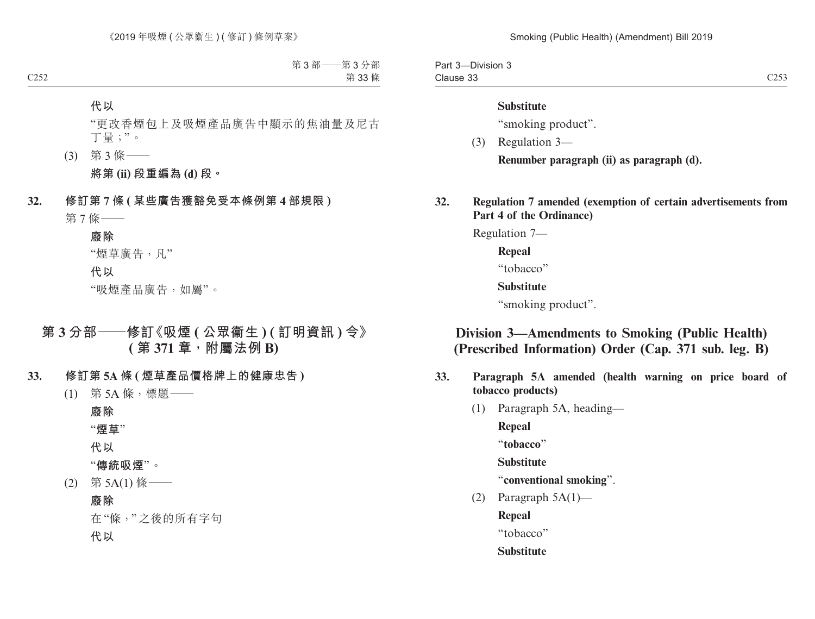Part 3—Division 3 Clause 33 Clause 33 C253

#### **Substitute**

"smoking product".

(3) Regulation 3—

**Renumber paragraph (ii) as paragraph (d).**

**32. Regulation 7 amended (exemption of certain advertisements from Part 4 of the Ordinance)**

Regulation 7—

**Repeal**

"tobacco"

## **Substitute**

"smoking product".

# **Division 3—Amendments to Smoking (Public Health) (Prescribed Information) Order (Cap. 371 sub. leg. B)**

- **33. Paragraph 5A amended (health warning on price board of tobacco products)**
	- (1) Paragraph 5A, heading—

**Repeal**

"**tobacco**"

**Substitute**

"**conventional smoking**".

(2) Paragraph  $5A(1)$ —

**Repeal**

"tobacco"

**Substitute**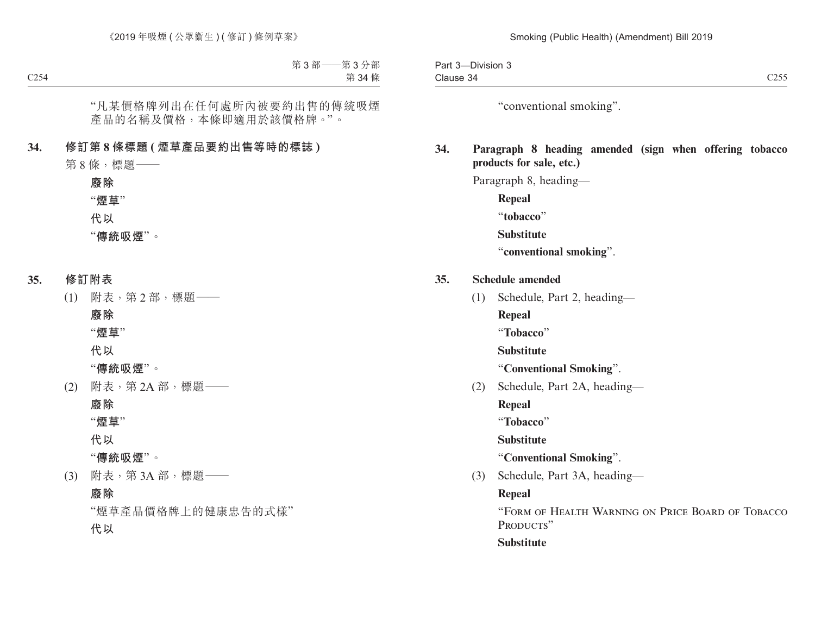"conventional smoking".

## **34. Paragraph 8 heading amended (sign when offering tobacco products for sale, etc.)**

Paragraph 8, heading—

**Repeal** "**tobacco**"

**Substitute**

"**conventional smoking**".

- **35. Schedule amended**
	- (1) Schedule, Part 2, heading—
		- **Repeal**
		- "**Tobacco**"

**Substitute**

"**Conventional Smoking**".

(2) Schedule, Part 2A, heading—

**Repeal**

"**Tobacco**"

**Substitute**

"**Conventional Smoking**".

(3) Schedule, Part 3A, heading—

## **Repeal**

"Form of Health Warning on Price Board of Tobacco PRODUCTS"

**Substitute**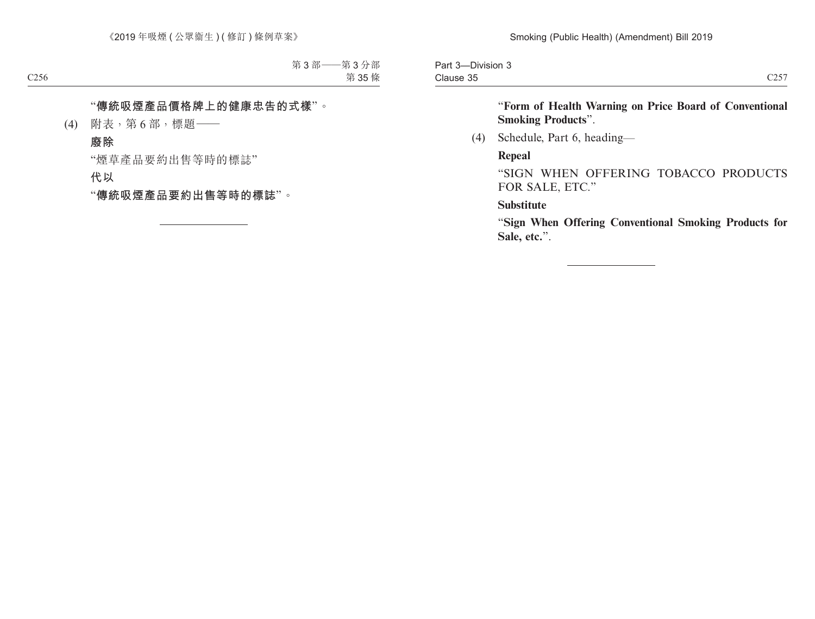Part 3—Division 3 Clause 35 Clause 35  $C257$ 

"**Form of Health Warning on Price Board of Conventional Smoking Products**".

(4) Schedule, Part 6, heading—

**Repeal**

"SIGN WHEN OFFERING TOBACCO PRODUCTS FOR SALE, ETC."

**Substitute**

"**Sign When Offering Conventional Smoking Products for Sale, etc.**".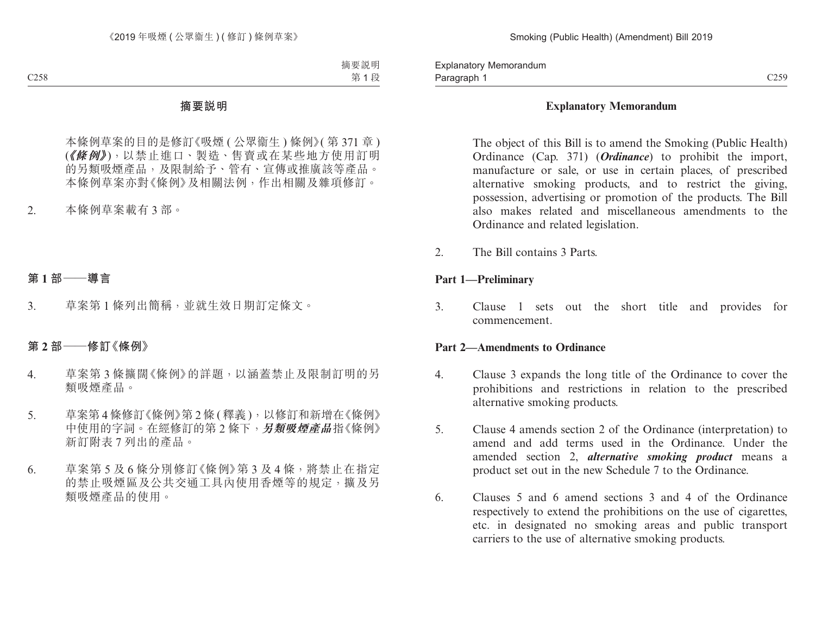Paragraph 1 and 259 C259 Explanatory Memorandum Paragraph 1

#### **Explanatory Memorandum**

The object of this Bill is to amend the Smoking (Public Health) Ordinance (Cap. 371) (*Ordinance*) to prohibit the import, manufacture or sale, or use in certain places, of prescribed alternative smoking products, and to restrict the giving, possession, advertising or promotion of the products. The Bill also makes related and miscellaneous amendments to the Ordinance and related legislation.

2. The Bill contains 3 Parts.

#### **Part 1—Preliminary**

3. Clause 1 sets out the short title and provides for commencement.

#### **Part 2—Amendments to Ordinance**

- 4. Clause 3 expands the long title of the Ordinance to cover the prohibitions and restrictions in relation to the prescribed alternative smoking products.
- 5. Clause 4 amends section 2 of the Ordinance (interpretation) to amend and add terms used in the Ordinance. Under the amended section 2, *alternative smoking product* means a product set out in the new Schedule 7 to the Ordinance.
- 6. Clauses 5 and 6 amend sections 3 and 4 of the Ordinance respectively to extend the prohibitions on the use of cigarettes, etc. in designated no smoking areas and public transport carriers to the use of alternative smoking products.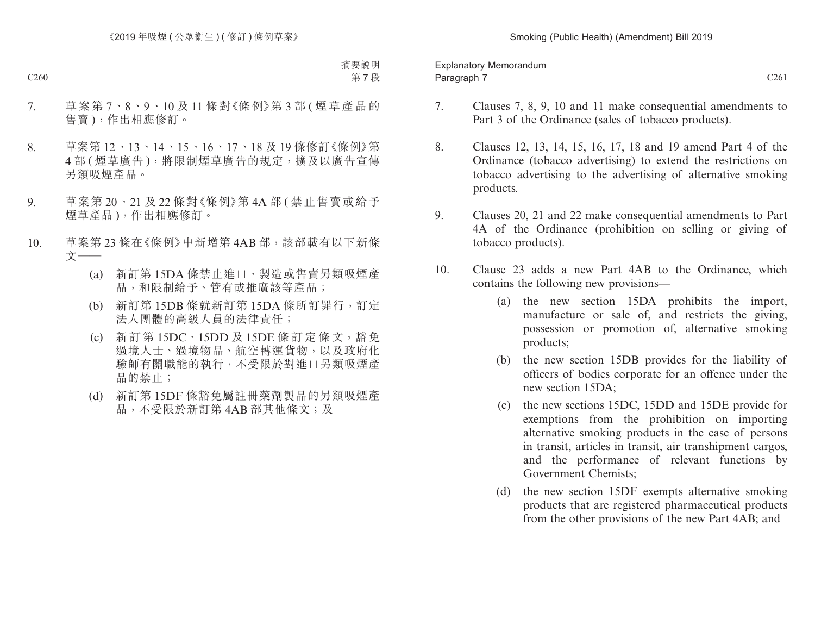Paragraph 7 and 2011 and 2012 and 2012 and 2014 and 2012 and 2014 and 2014 and 2014 and 2014 and 2014 and 201 Explanatory Memorandum Paragraph 7

- 
- 7. Clauses 7, 8, 9, 10 and 11 make consequential amendments to Part 3 of the Ordinance (sales of tobacco products).
- 8. Clauses 12, 13, 14, 15, 16, 17, 18 and 19 amend Part 4 of the Ordinance (tobacco advertising) to extend the restrictions on tobacco advertising to the advertising of alternative smoking products.
- 9. Clauses 20, 21 and 22 make consequential amendments to Part 4A of the Ordinance (prohibition on selling or giving of tobacco products).
- 10. Clause 23 adds a new Part 4AB to the Ordinance, which contains the following new provisions—
	- (a) the new section 15DA prohibits the import, manufacture or sale of, and restricts the giving, possession or promotion of, alternative smoking products;
	- (b) the new section 15DB provides for the liability of officers of bodies corporate for an offence under the new section 15DA;
	- (c) the new sections 15DC, 15DD and 15DE provide for exemptions from the prohibition on importing alternative smoking products in the case of persons in transit, articles in transit, air transhipment cargos, and the performance of relevant functions by Government Chemists;
	- (d) the new section 15DF exempts alternative smoking products that are registered pharmaceutical products from the other provisions of the new Part 4AB; and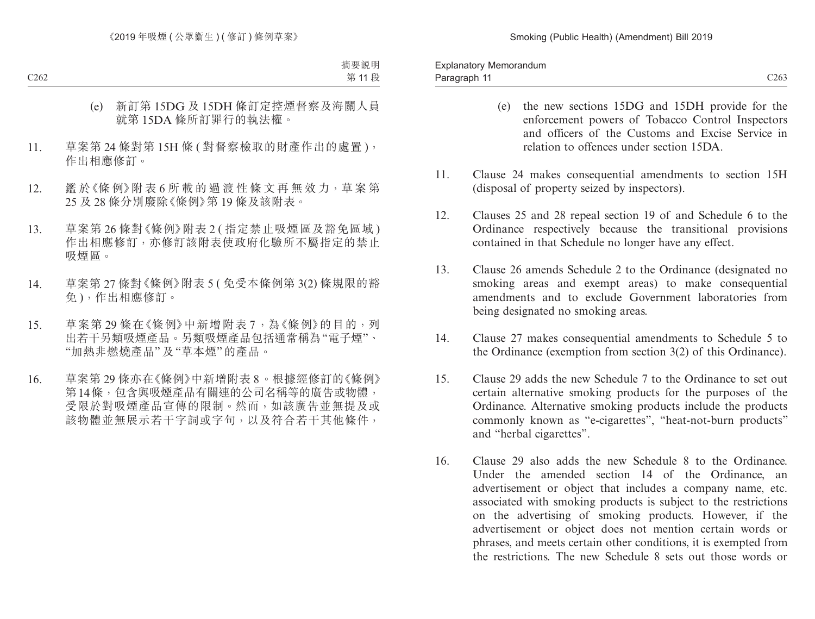- (e) the new sections 15DG and 15DH provide for the enforcement powers of Tobacco Control Inspectors and officers of the Customs and Excise Service in relation to offences under section 15DA.
- 11. Clause 24 makes consequential amendments to section 15H (disposal of property seized by inspectors).
- 12. Clauses 25 and 28 repeal section 19 of and Schedule 6 to the Ordinance respectively because the transitional provisions contained in that Schedule no longer have any effect.
- 13. Clause 26 amends Schedule 2 to the Ordinance (designated no smoking areas and exempt areas) to make consequential amendments and to exclude Government laboratories from being designated no smoking areas.
- 14. Clause 27 makes consequential amendments to Schedule 5 to the Ordinance (exemption from section 3(2) of this Ordinance).
- 15. Clause 29 adds the new Schedule 7 to the Ordinance to set out certain alternative smoking products for the purposes of the Ordinance. Alternative smoking products include the products commonly known as "e-cigarettes", "heat-not-burn products" and "herbal cigarettes".
- 16. Clause 29 also adds the new Schedule 8 to the Ordinance. Under the amended section 14 of the Ordinance, an advertisement or object that includes a company name, etc. associated with smoking products is subject to the restrictions on the advertising of smoking products. However, if the advertisement or object does not mention certain words or phrases, and meets certain other conditions, it is exempted from the restrictions. The new Schedule 8 sets out those words or